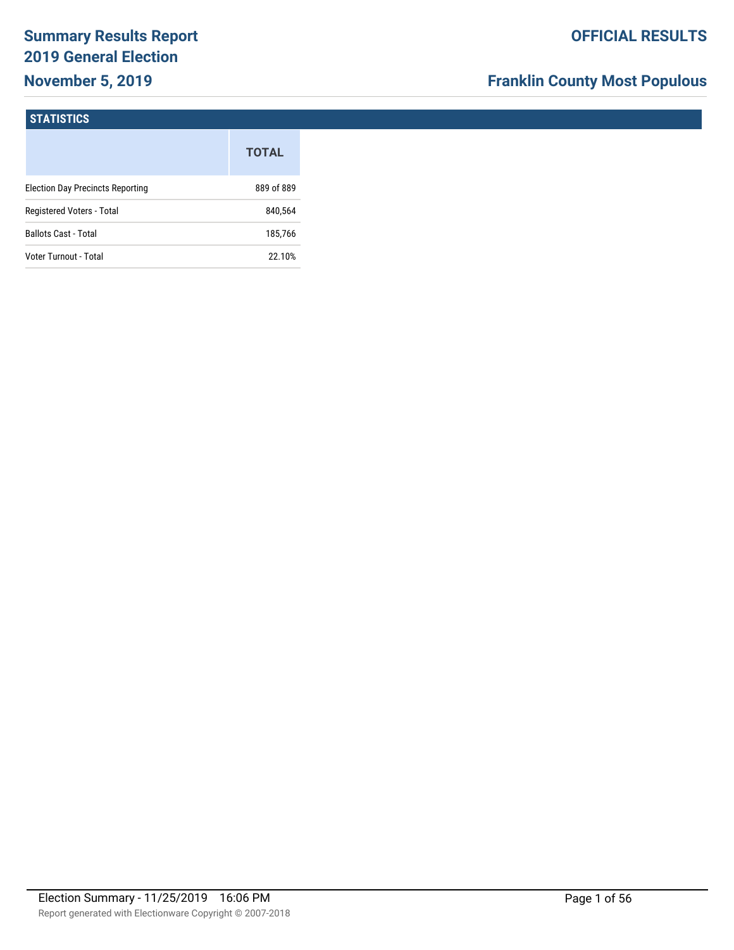# **Summary Results Report 2019 General Election November 5, 2019**

# **Franklin County Most Populous**

#### **STATISTICS**

|                                         | <b>TOTAL</b> |
|-----------------------------------------|--------------|
| <b>Election Day Precincts Reporting</b> | 889 of 889   |
| Registered Voters - Total               | 840,564      |
| <b>Ballots Cast - Total</b>             | 185.766      |
| Voter Turnout - Total                   | 22.10%       |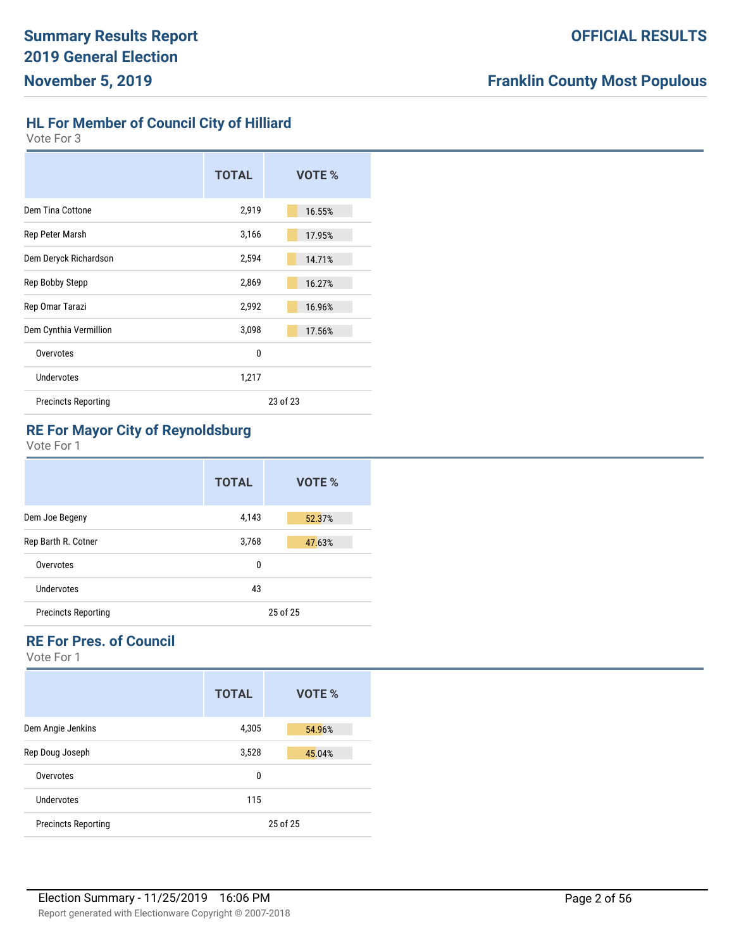**HL For Member of Council City of Hilliard**

Vote For 3

|                            | <b>TOTAL</b> | VOTE % |
|----------------------------|--------------|--------|
| Dem Tina Cottone           | 2,919        | 16.55% |
| Rep Peter Marsh            | 3,166        | 17.95% |
| Dem Deryck Richardson      | 2,594        | 14.71% |
| Rep Bobby Stepp            | 2,869        | 16.27% |
| Rep Omar Tarazi            | 2,992        | 16.96% |
| Dem Cynthia Vermillion     | 3,098        | 17.56% |
| Overvotes                  | 0            |        |
| Undervotes                 | 1,217        |        |
| <b>Precincts Reporting</b> | 23 of 23     |        |

# **RE For Mayor City of Reynoldsburg**

Vote For 1

|                            | <b>TOTAL</b> | <b>VOTE %</b> |
|----------------------------|--------------|---------------|
| Dem Joe Begeny             | 4,143        | 52.37%        |
| Rep Barth R. Cotner        | 3,768        | 47.63%        |
| Overvotes                  | 0            |               |
| Undervotes                 | 43           |               |
| <b>Precincts Reporting</b> |              | 25 of 25      |

# **RE For Pres. of Council**

|                            | <b>TOTAL</b> | VOTE %   |
|----------------------------|--------------|----------|
| Dem Angie Jenkins          | 4,305        | 54.96%   |
| Rep Doug Joseph            | 3,528        | 45.04%   |
| Overvotes                  | 0            |          |
| Undervotes                 | 115          |          |
| <b>Precincts Reporting</b> |              | 25 of 25 |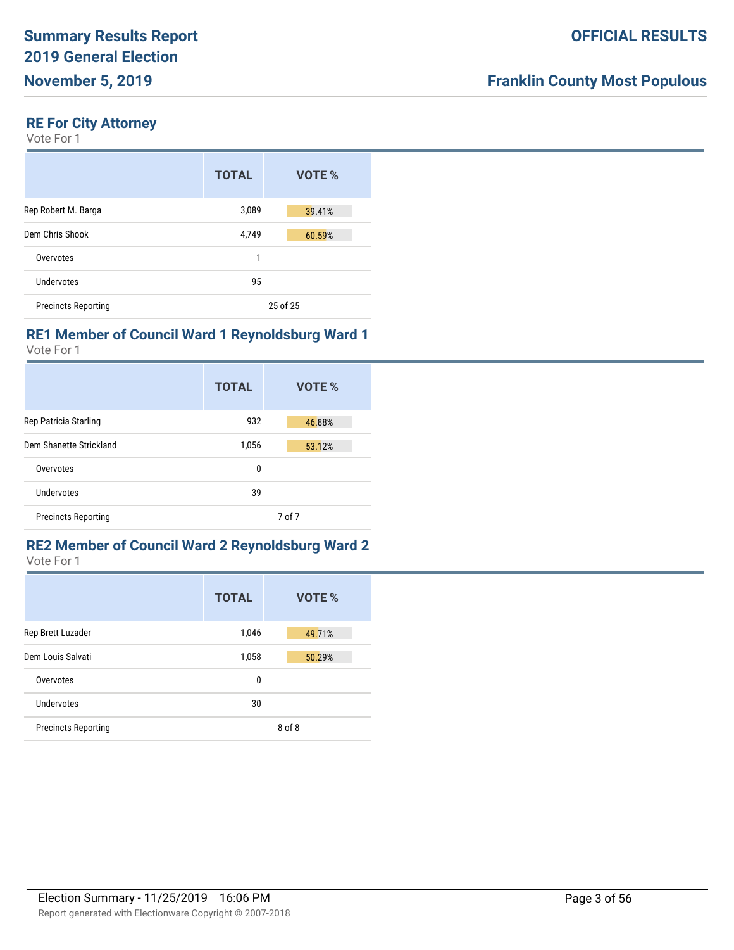# **RE For City Attorney**

Vote For 1

|                            | <b>TOTAL</b> | VOTE %   |
|----------------------------|--------------|----------|
| Rep Robert M. Barga        | 3,089        | 39.41%   |
| Dem Chris Shook            | 4,749        | 60.59%   |
| Overvotes                  | 1            |          |
| Undervotes                 | 95           |          |
| <b>Precincts Reporting</b> |              | 25 of 25 |

# **RE1 Member of Council Ward 1 Reynoldsburg Ward 1**

Vote For 1

|                            | <b>TOTAL</b> | <b>VOTE %</b> |
|----------------------------|--------------|---------------|
| Rep Patricia Starling      | 932          | 46.88%        |
| Dem Shanette Strickland    | 1,056        | 53.12%        |
| Overvotes                  | 0            |               |
| Undervotes                 | 39           |               |
| <b>Precincts Reporting</b> |              | 7 of 7        |

#### **RE2 Member of Council Ward 2 Reynoldsburg Ward 2** Vote For 1

|                            | <b>TOTAL</b> | <b>VOTE %</b> |
|----------------------------|--------------|---------------|
| Rep Brett Luzader          | 1,046        | 49.71%        |
| Dem Louis Salvati          | 1,058        | 50.29%        |
| Overvotes                  | 0            |               |
| Undervotes                 | 30           |               |
| <b>Precincts Reporting</b> |              | 8 of 8        |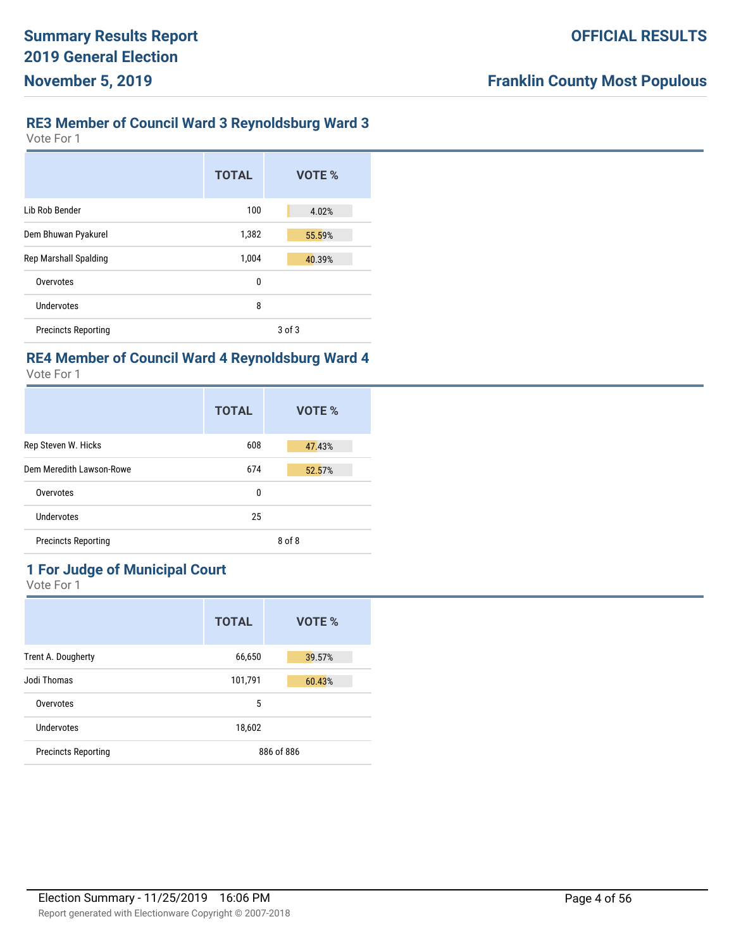## **RE3 Member of Council Ward 3 Reynoldsburg Ward 3**

Vote For 1

|                            | <b>TOTAL</b> | VOTE % |
|----------------------------|--------------|--------|
| Lib Rob Bender             | 100          | 4.02%  |
| Dem Bhuwan Pyakurel        | 1,382        | 55.59% |
| Rep Marshall Spalding      | 1,004        | 40.39% |
| Overvotes                  | 0            |        |
| Undervotes                 | 8            |        |
| <b>Precincts Reporting</b> |              | 3 of 3 |

# **RE4 Member of Council Ward 4 Reynoldsburg Ward 4**

Vote For 1

|                            | <b>TOTAL</b> | VOTE % |
|----------------------------|--------------|--------|
| Rep Steven W. Hicks        | 608          | 47.43% |
| Dem Meredith Lawson-Rowe   | 674          | 52.57% |
| Overvotes                  | 0            |        |
| Undervotes                 | 25           |        |
| <b>Precincts Reporting</b> |              | 8 of 8 |

# **1 For Judge of Municipal Court**

|                            | <b>TOTAL</b> | VOTE %     |
|----------------------------|--------------|------------|
| Trent A. Dougherty         | 66,650       | 39.57%     |
| Jodi Thomas                | 101,791      | 60.43%     |
| Overvotes                  | 5            |            |
| Undervotes                 | 18,602       |            |
| <b>Precincts Reporting</b> |              | 886 of 886 |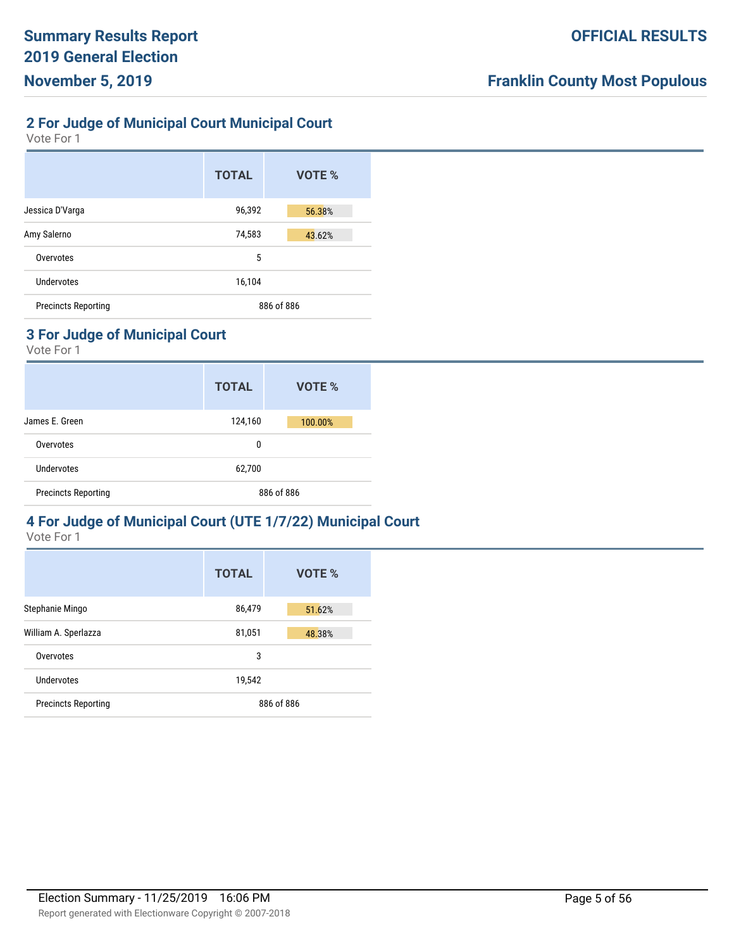## **2 For Judge of Municipal Court Municipal Court**

Vote For 1

|                            | <b>TOTAL</b> | VOTE %     |
|----------------------------|--------------|------------|
| Jessica D'Varga            | 96,392       | 56.38%     |
| Amy Salerno                | 74,583       | 43.62%     |
| Overvotes                  | 5            |            |
| Undervotes                 | 16,104       |            |
| <b>Precincts Reporting</b> |              | 886 of 886 |

# **3 For Judge of Municipal Court**

Vote For 1

|                            | <b>TOTAL</b> | VOTE %  |
|----------------------------|--------------|---------|
| James E. Green             | 124,160      | 100.00% |
| Overvotes                  | 0            |         |
| <b>Undervotes</b>          | 62,700       |         |
| <b>Precincts Reporting</b> | 886 of 886   |         |

# **4 For Judge of Municipal Court (UTE 1/7/22) Municipal Court**

|                            | <b>TOTAL</b> | VOTE %     |
|----------------------------|--------------|------------|
| Stephanie Mingo            | 86,479       | 51.62%     |
| William A. Sperlazza       | 81,051       | 48.38%     |
| Overvotes                  | 3            |            |
| Undervotes                 | 19,542       |            |
| <b>Precincts Reporting</b> |              | 886 of 886 |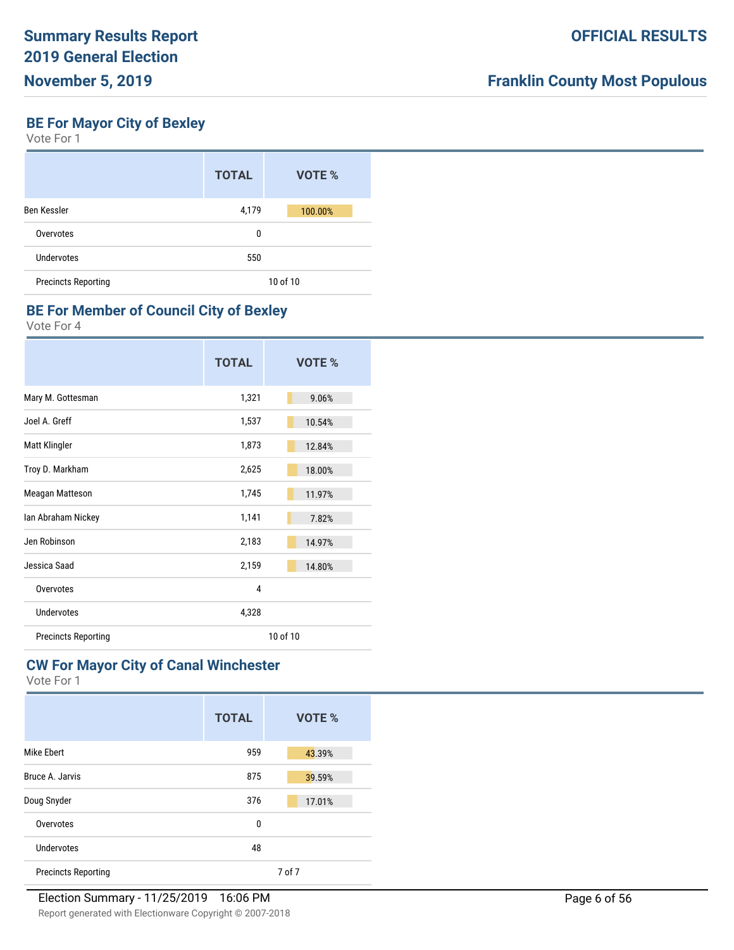# **BE For Mayor City of Bexley**

Vote For 1

|                            | <b>TOTAL</b> | VOTE %   |
|----------------------------|--------------|----------|
| Ben Kessler                | 4,179        | 100.00%  |
| Overvotes                  | 0            |          |
| Undervotes                 | 550          |          |
| <b>Precincts Reporting</b> |              | 10 of 10 |

#### **BE For Member of Council City of Bexley**

Vote For 4

|                            | <b>TOTAL</b> | VOTE %   |
|----------------------------|--------------|----------|
| Mary M. Gottesman          | 1,321        | 9.06%    |
| Joel A. Greff              | 1,537        | 10.54%   |
| Matt Klingler              | 1,873        | 12.84%   |
| Troy D. Markham            | 2,625        | 18.00%   |
| Meagan Matteson            | 1,745        | 11.97%   |
| Ian Abraham Nickey         | 1,141        | 7.82%    |
| Jen Robinson               | 2,183        | 14.97%   |
| Jessica Saad               | 2,159        | 14.80%   |
| Overvotes                  | 4            |          |
| Undervotes                 | 4,328        |          |
| <b>Precincts Reporting</b> |              | 10 of 10 |

#### **CW For Mayor City of Canal Winchester**

|                            | <b>TOTAL</b> | VOTE % |
|----------------------------|--------------|--------|
| <b>Mike Ebert</b>          | 959          | 43.39% |
| Bruce A. Jarvis            | 875          | 39.59% |
| Doug Snyder                | 376          | 17.01% |
| Overvotes                  | 0            |        |
| Undervotes                 | 48           |        |
| <b>Precincts Reporting</b> |              | 7 of 7 |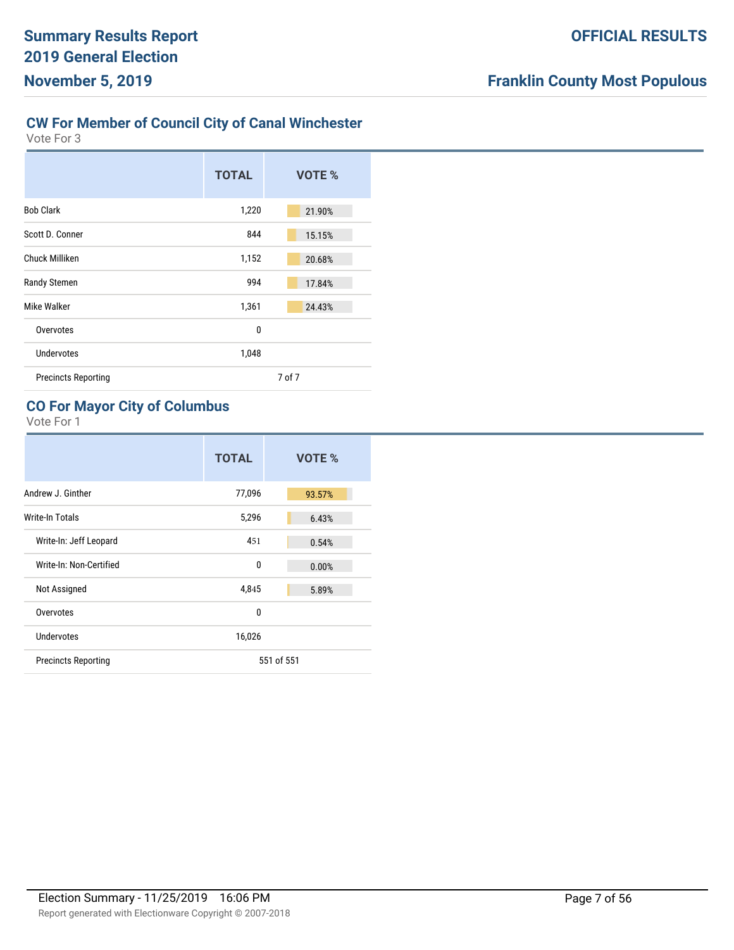# **CW For Member of Council City of Canal Winchester**

Vote For 3

|                            | <b>TOTAL</b> | VOTE % |
|----------------------------|--------------|--------|
| <b>Bob Clark</b>           | 1,220        | 21.90% |
| Scott D. Conner            | 844          | 15.15% |
| Chuck Milliken             | 1,152        | 20.68% |
| Randy Stemen               | 994          | 17.84% |
| Mike Walker                | 1,361        | 24.43% |
| Overvotes                  | $\mathbf{0}$ |        |
| <b>Undervotes</b>          | 1,048        |        |
| <b>Precincts Reporting</b> |              | 7 of 7 |

# **CO For Mayor City of Columbus**

|                            | <b>TOTAL</b> | VOTE %     |
|----------------------------|--------------|------------|
| Andrew J. Ginther          | 77,096       | 93.57%     |
| Write-In Totals            | 5,296        | 6.43%      |
| Write-In: Jeff Leopard     | 451          | 0.54%      |
| Write-In: Non-Certified    | $\mathbf 0$  | 0.00%      |
| Not Assigned               | 4,845        | 5.89%      |
| Overvotes                  | $\mathbf{0}$ |            |
| Undervotes                 | 16,026       |            |
| <b>Precincts Reporting</b> |              | 551 of 551 |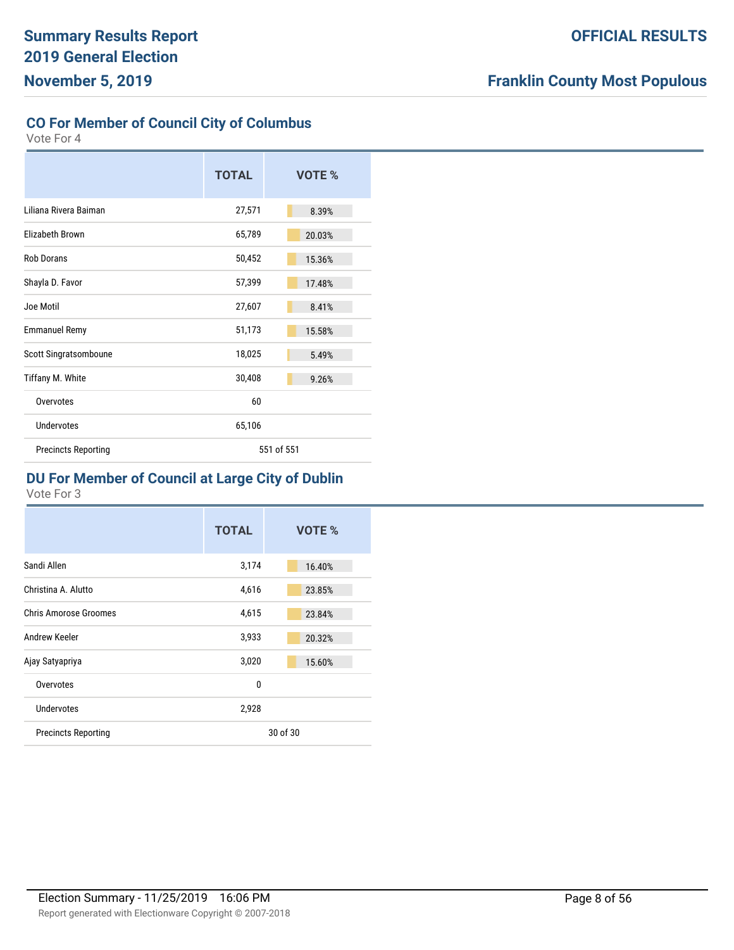## **CO For Member of Council City of Columbus**

Vote For 4

|                            | <b>TOTAL</b> | <b>VOTE %</b> |
|----------------------------|--------------|---------------|
| Liliana Rivera Baiman      | 27,571       | 8.39%         |
| Elizabeth Brown            | 65,789       | 20.03%        |
| <b>Rob Dorans</b>          | 50,452       | 15.36%        |
| Shayla D. Favor            | 57,399       | 17.48%        |
| Joe Motil                  | 27,607       | 8.41%         |
| <b>Emmanuel Remy</b>       | 51,173       | 15.58%        |
| Scott Singratsomboune      | 18,025       | 5.49%         |
| Tiffany M. White           | 30,408       | 9.26%         |
| Overvotes                  | 60           |               |
| <b>Undervotes</b>          | 65,106       |               |
| <b>Precincts Reporting</b> |              | 551 of 551    |

# **DU For Member of Council at Large City of Dublin**

|                              | <b>TOTAL</b> | VOTE %   |
|------------------------------|--------------|----------|
| Sandi Allen                  | 3,174        | 16.40%   |
| Christina A. Alutto          | 4,616        | 23.85%   |
| <b>Chris Amorose Groomes</b> | 4,615        | 23.84%   |
| Andrew Keeler                | 3,933        | 20.32%   |
| Ajay Satyapriya              | 3,020        | 15.60%   |
| Overvotes                    | 0            |          |
| Undervotes                   | 2,928        |          |
| <b>Precincts Reporting</b>   |              | 30 of 30 |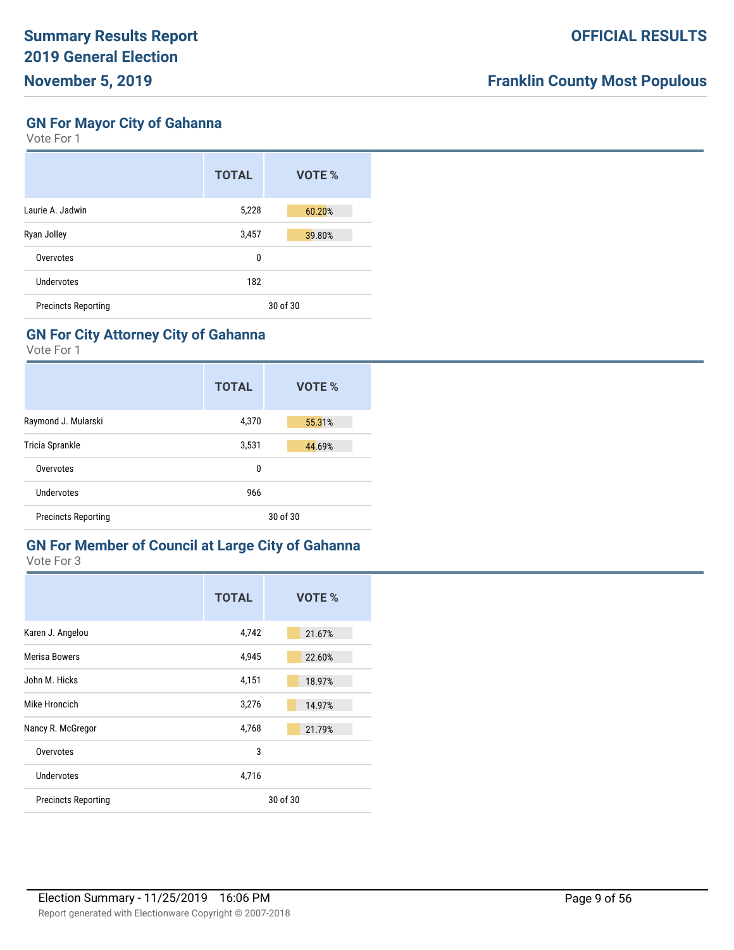## **GN For Mayor City of Gahanna**

Vote For 1

|                            | <b>TOTAL</b> | VOTE %   |
|----------------------------|--------------|----------|
| Laurie A. Jadwin           | 5,228        | 60.20%   |
| Ryan Jolley                | 3,457        | 39.80%   |
| Overvotes                  | 0            |          |
| Undervotes                 | 182          |          |
| <b>Precincts Reporting</b> |              | 30 of 30 |

#### **GN For City Attorney City of Gahanna**

Vote For 1

|                            | <b>TOTAL</b> | VOTE % |
|----------------------------|--------------|--------|
| Raymond J. Mularski        | 4,370        | 55.31% |
| Tricia Sprankle            | 3,531        | 44.69% |
| Overvotes                  | 0            |        |
| Undervotes                 | 966          |        |
| <b>Precincts Reporting</b> | 30 of 30     |        |

#### **GN For Member of Council at Large City of Gahanna** Vote For 3

|                            | <b>TOTAL</b> | VOTE %   |
|----------------------------|--------------|----------|
| Karen J. Angelou           | 4,742        | 21.67%   |
| <b>Merisa Bowers</b>       | 4,945        | 22.60%   |
| John M. Hicks              | 4,151        | 18.97%   |
| Mike Hroncich              | 3,276        | 14.97%   |
| Nancy R. McGregor          | 4,768        | 21.79%   |
| Overvotes                  | 3            |          |
| Undervotes                 | 4,716        |          |
| <b>Precincts Reporting</b> |              | 30 of 30 |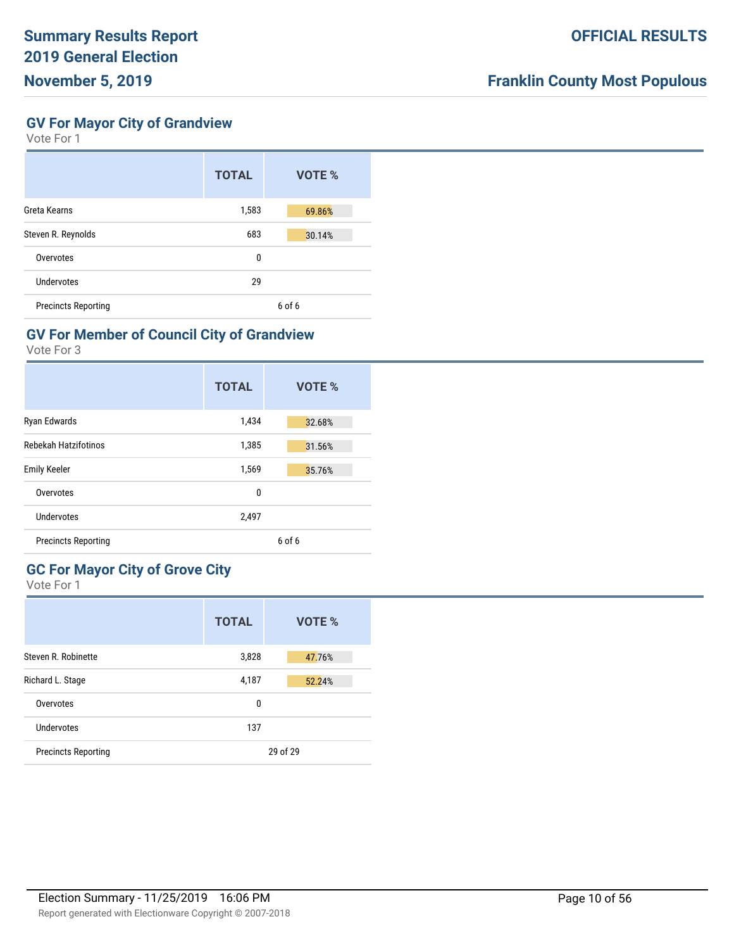**GV For Mayor City of Grandview**

Vote For 1

|                            | <b>TOTAL</b> | VOTE %     |
|----------------------------|--------------|------------|
| Greta Kearns               | 1,583        | 69.86%     |
| Steven R. Reynolds         | 683          | 30.14%     |
| Overvotes                  | 0            |            |
| Undervotes                 | 29           |            |
| <b>Precincts Reporting</b> |              | $6$ of $6$ |

## **GV For Member of Council City of Grandview**

Vote For 3

|                            | <b>TOTAL</b> | <b>VOTE %</b> |
|----------------------------|--------------|---------------|
| Ryan Edwards               | 1,434        | 32.68%        |
| Rebekah Hatzifotinos       | 1,385        | 31.56%        |
| <b>Emily Keeler</b>        | 1,569        | 35.76%        |
| Overvotes                  | 0            |               |
| Undervotes                 | 2,497        |               |
| <b>Precincts Reporting</b> |              | 6 of 6        |

# **GC For Mayor City of Grove City**

|                            | <b>TOTAL</b> | VOTE %   |
|----------------------------|--------------|----------|
| Steven R. Robinette        | 3,828        | 47.76%   |
| Richard L. Stage           | 4,187        | 52.24%   |
| Overvotes                  | 0            |          |
| Undervotes                 | 137          |          |
| <b>Precincts Reporting</b> |              | 29 of 29 |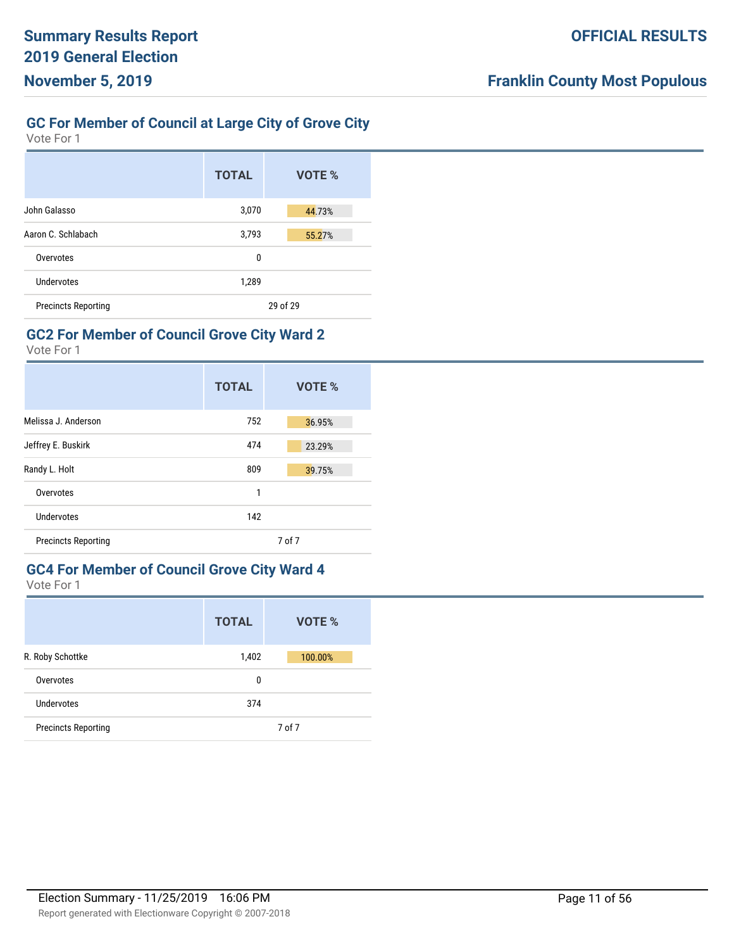## **GC For Member of Council at Large City of Grove City**

Vote For 1

|                            | <b>TOTAL</b> | VOTE %   |
|----------------------------|--------------|----------|
| John Galasso               | 3,070        | 44.73%   |
| Aaron C. Schlabach         | 3,793        | 55.27%   |
| Overvotes                  | 0            |          |
| Undervotes                 | 1,289        |          |
| <b>Precincts Reporting</b> |              | 29 of 29 |

## **GC2 For Member of Council Grove City Ward 2**

Vote For 1

|                            | <b>TOTAL</b> | VOTE % |
|----------------------------|--------------|--------|
| Melissa J. Anderson        | 752          | 36.95% |
| Jeffrey E. Buskirk         | 474          | 23.29% |
| Randy L. Holt              | 809          | 39.75% |
| Overvotes                  | 1            |        |
| Undervotes                 | 142          |        |
| <b>Precincts Reporting</b> |              | 7 of 7 |

## **GC4 For Member of Council Grove City Ward 4**

|                            | <b>TOTAL</b> | VOTE %  |
|----------------------------|--------------|---------|
| R. Roby Schottke           | 1,402        | 100.00% |
| Overvotes                  | 0            |         |
| Undervotes                 | 374          |         |
| <b>Precincts Reporting</b> |              | 7 of 7  |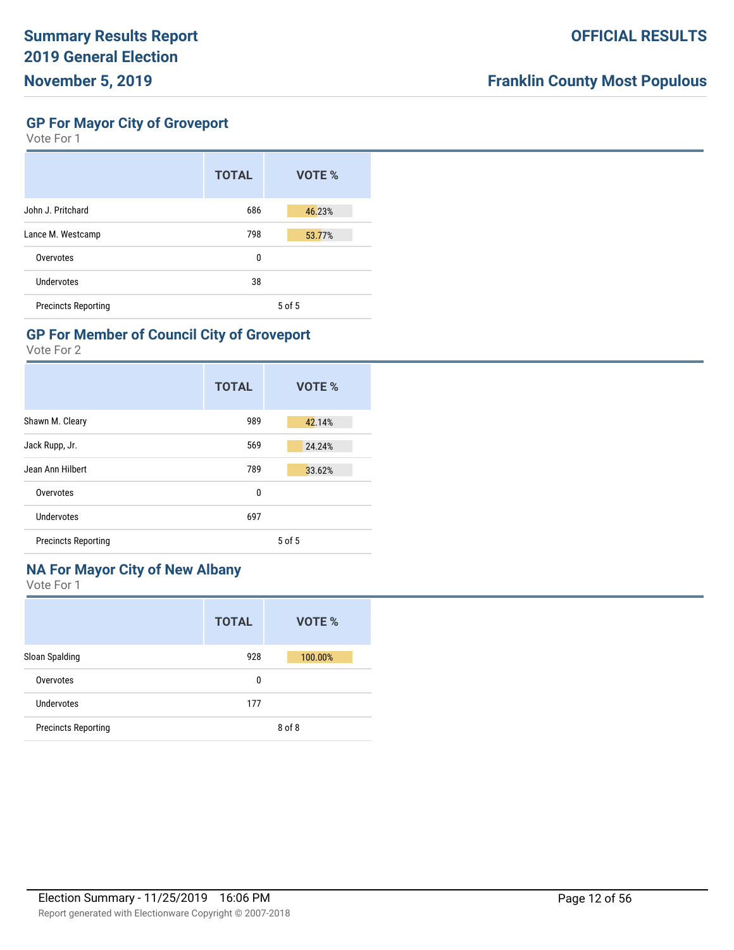**GP For Mayor City of Groveport**

Vote For 1

|                            | <b>TOTAL</b> | VOTE %     |
|----------------------------|--------------|------------|
| John J. Pritchard          | 686          | 46.23%     |
| Lance M. Westcamp          | 798          | 53.77%     |
| Overvotes                  | 0            |            |
| Undervotes                 | 38           |            |
| <b>Precincts Reporting</b> |              | $5$ of $5$ |

## **GP For Member of Council City of Groveport**

Vote For 2

|                            | <b>TOTAL</b> | VOTE %     |
|----------------------------|--------------|------------|
| Shawn M. Cleary            | 989          | 42.14%     |
| Jack Rupp, Jr.             | 569          | 24.24%     |
| Jean Ann Hilbert           | 789          | 33.62%     |
| Overvotes                  | 0            |            |
| Undervotes                 | 697          |            |
| <b>Precincts Reporting</b> |              | $5$ of $5$ |

# **NA For Mayor City of New Albany**

|                            | <b>TOTAL</b> | VOTE %  |
|----------------------------|--------------|---------|
| Sloan Spalding             | 928          | 100.00% |
| Overvotes                  | 0            |         |
| Undervotes                 | 177          |         |
| <b>Precincts Reporting</b> |              | 8 of 8  |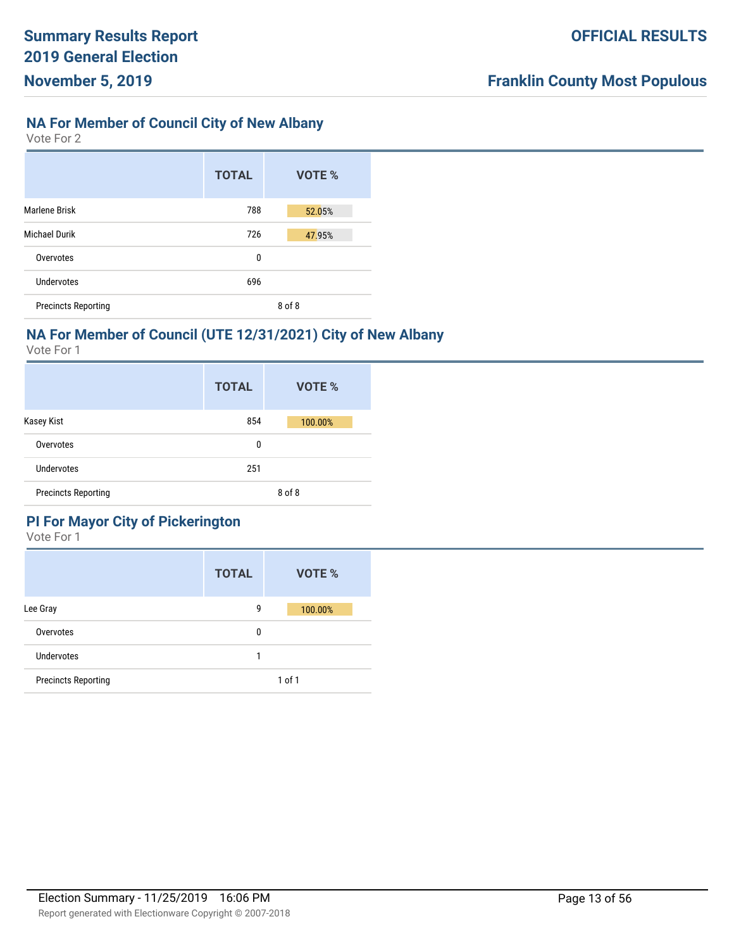## **NA For Member of Council City of New Albany**

Vote For 2

|                            | <b>TOTAL</b> | VOTE % |
|----------------------------|--------------|--------|
| <b>Marlene Brisk</b>       | 788          | 52.05% |
| <b>Michael Durik</b>       | 726          | 47.95% |
| Overvotes                  | 0            |        |
| Undervotes                 | 696          |        |
| <b>Precincts Reporting</b> |              | 8 of 8 |

# **NA For Member of Council (UTE 12/31/2021) City of New Albany**

Vote For 1

|                            | <b>TOTAL</b> | VOTE %  |
|----------------------------|--------------|---------|
| Kasey Kist                 | 854          | 100.00% |
| Overvotes                  | 0            |         |
| <b>Undervotes</b>          | 251          |         |
| <b>Precincts Reporting</b> |              | 8 of 8  |

## **PI For Mayor City of Pickerington**

|                            | <b>TOTAL</b> | VOTE %     |
|----------------------------|--------------|------------|
| Lee Gray                   | 9            | 100.00%    |
| Overvotes                  | 0            |            |
| <b>Undervotes</b>          |              |            |
| <b>Precincts Reporting</b> |              | $1$ of $1$ |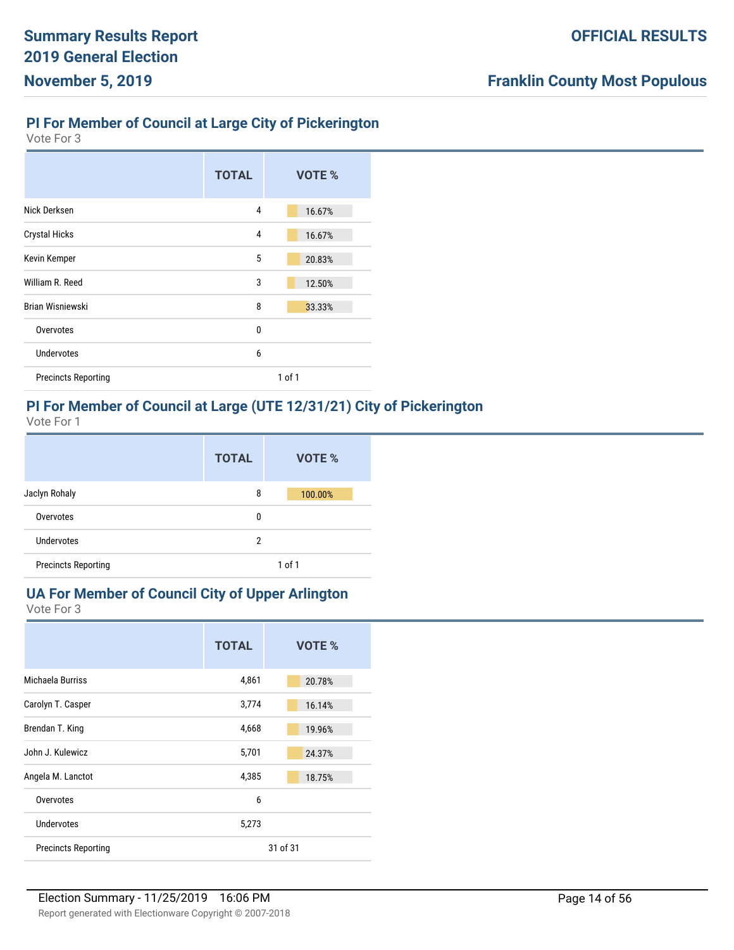# **PI For Member of Council at Large City of Pickerington**

Vote For 3

|                            | <b>TOTAL</b> | VOTE %     |
|----------------------------|--------------|------------|
| Nick Derksen               | 4            | 16.67%     |
| <b>Crystal Hicks</b>       | 4            | 16.67%     |
| Kevin Kemper               | 5            | 20.83%     |
| William R. Reed            | 3            | 12.50%     |
| Brian Wisniewski           | 8            | 33.33%     |
| Overvotes                  | 0            |            |
| <b>Undervotes</b>          | 6            |            |
| <b>Precincts Reporting</b> |              | $1$ of $1$ |

## **PI For Member of Council at Large (UTE 12/31/21) City of Pickerington**

Vote For 1

|                            | <b>TOTAL</b> | VOTE %     |
|----------------------------|--------------|------------|
| Jaclyn Rohaly              | 8            | 100.00%    |
| Overvotes                  | 0            |            |
| Undervotes                 | 2            |            |
| <b>Precincts Reporting</b> |              | $1$ of $1$ |

# **UA For Member of Council City of Upper Arlington**

|                            | <b>TOTAL</b> | VOTE %   |
|----------------------------|--------------|----------|
| Michaela Burriss           | 4,861        | 20.78%   |
| Carolyn T. Casper          | 3,774        | 16.14%   |
| Brendan T. King            | 4,668        | 19.96%   |
| John J. Kulewicz           | 5,701        | 24.37%   |
| Angela M. Lanctot          | 4,385        | 18.75%   |
| Overvotes                  | 6            |          |
| <b>Undervotes</b>          | 5,273        |          |
| <b>Precincts Reporting</b> |              | 31 of 31 |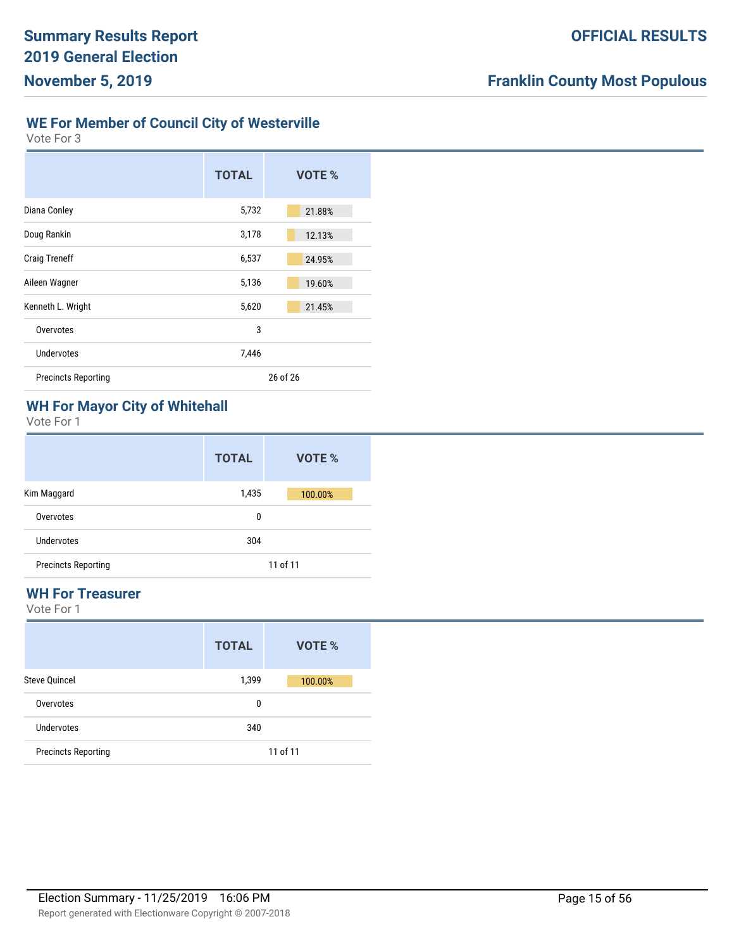#### **WE For Member of Council City of Westerville**

Vote For 3

|                            | <b>TOTAL</b> | VOTE %   |
|----------------------------|--------------|----------|
| Diana Conley               | 5,732        | 21.88%   |
| Doug Rankin                | 3,178        | 12.13%   |
| <b>Craig Treneff</b>       | 6,537        | 24.95%   |
| Aileen Wagner              | 5,136        | 19.60%   |
| Kenneth L. Wright          | 5,620        | 21.45%   |
| Overvotes                  | 3            |          |
| Undervotes                 | 7,446        |          |
| <b>Precincts Reporting</b> |              | 26 of 26 |

# **WH For Mayor City of Whitehall**

Vote For 1

|                            | <b>TOTAL</b> | VOTE %   |
|----------------------------|--------------|----------|
| Kim Maggard                | 1,435        | 100.00%  |
| Overvotes                  | 0            |          |
| Undervotes                 | 304          |          |
| <b>Precincts Reporting</b> |              | 11 of 11 |

#### **WH For Treasurer**

|                            | <b>TOTAL</b> | VOTE %   |
|----------------------------|--------------|----------|
| <b>Steve Quincel</b>       | 1,399        | 100.00%  |
| Overvotes                  | 0            |          |
| Undervotes                 | 340          |          |
| <b>Precincts Reporting</b> |              | 11 of 11 |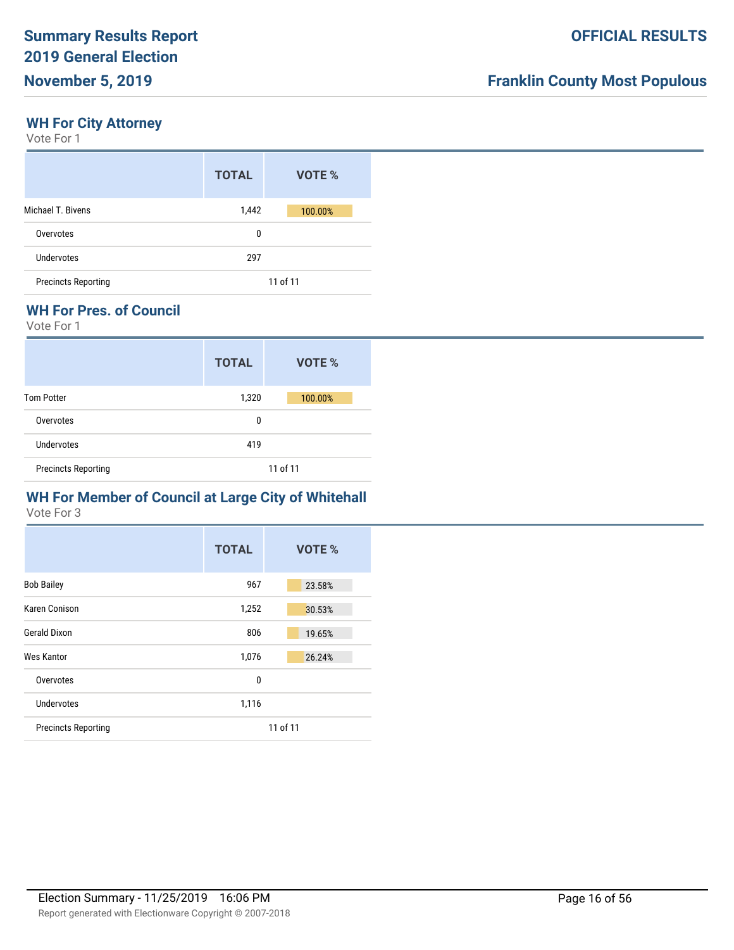## **WH For City Attorney**

Vote For 1

|                            | <b>TOTAL</b> | VOTE %   |
|----------------------------|--------------|----------|
| Michael T. Bivens          | 1,442        | 100.00%  |
| Overvotes                  | 0            |          |
| Undervotes                 | 297          |          |
| <b>Precincts Reporting</b> |              | 11 of 11 |

#### **WH For Pres. of Council**

Vote For 1

|                            | <b>TOTAL</b> | VOTE %   |
|----------------------------|--------------|----------|
| <b>Tom Potter</b>          | 1,320        | 100.00%  |
| Overvotes                  | 0            |          |
| Undervotes                 | 419          |          |
| <b>Precincts Reporting</b> |              | 11 of 11 |

## **WH For Member of Council at Large City of Whitehall**

|                            | <b>TOTAL</b> | VOTE %   |
|----------------------------|--------------|----------|
| <b>Bob Bailey</b>          | 967          | 23.58%   |
| Karen Conison              | 1,252        | 30.53%   |
| <b>Gerald Dixon</b>        | 806          | 19.65%   |
| Wes Kantor                 | 1,076        | 26.24%   |
| Overvotes                  | 0            |          |
| Undervotes                 | 1,116        |          |
| <b>Precincts Reporting</b> |              | 11 of 11 |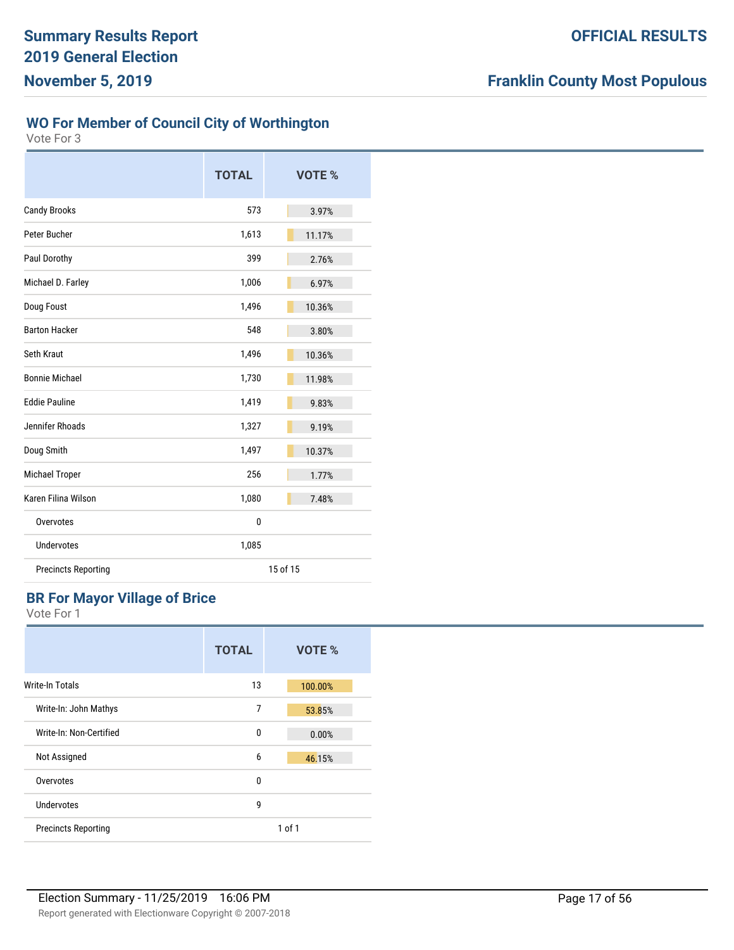## **WO For Member of Council City of Worthington**

Vote For 3

|                            | <b>TOTAL</b> | VOTE %   |
|----------------------------|--------------|----------|
| <b>Candy Brooks</b>        | 573          | 3.97%    |
| Peter Bucher               | 1,613        | 11.17%   |
| Paul Dorothy               | 399          | 2.76%    |
| Michael D. Farley          | 1,006        | 6.97%    |
| Doug Foust                 | 1,496        | 10.36%   |
| <b>Barton Hacker</b>       | 548          | 3.80%    |
| Seth Kraut                 | 1,496        | 10.36%   |
| <b>Bonnie Michael</b>      | 1,730        | 11.98%   |
| <b>Eddie Pauline</b>       | 1,419        | 9.83%    |
| Jennifer Rhoads            | 1,327        | 9.19%    |
| Doug Smith                 | 1,497        | 10.37%   |
| Michael Troper             | 256          | 1.77%    |
| Karen Filina Wilson        | 1,080        | 7.48%    |
| Overvotes                  | 0            |          |
| Undervotes                 | 1,085        |          |
| <b>Precincts Reporting</b> |              | 15 of 15 |

## **BR For Mayor Village of Brice**

|                            | <b>TOTAL</b> | VOTE %     |
|----------------------------|--------------|------------|
| Write-In Totals            | 13           | 100.00%    |
| Write-In: John Mathys      | 7            | 53.85%     |
| Write-In: Non-Certified    | 0            | 0.00%      |
| Not Assigned               | 6            | 46.15%     |
| Overvotes                  | 0            |            |
| Undervotes                 | 9            |            |
| <b>Precincts Reporting</b> |              | $1$ of $1$ |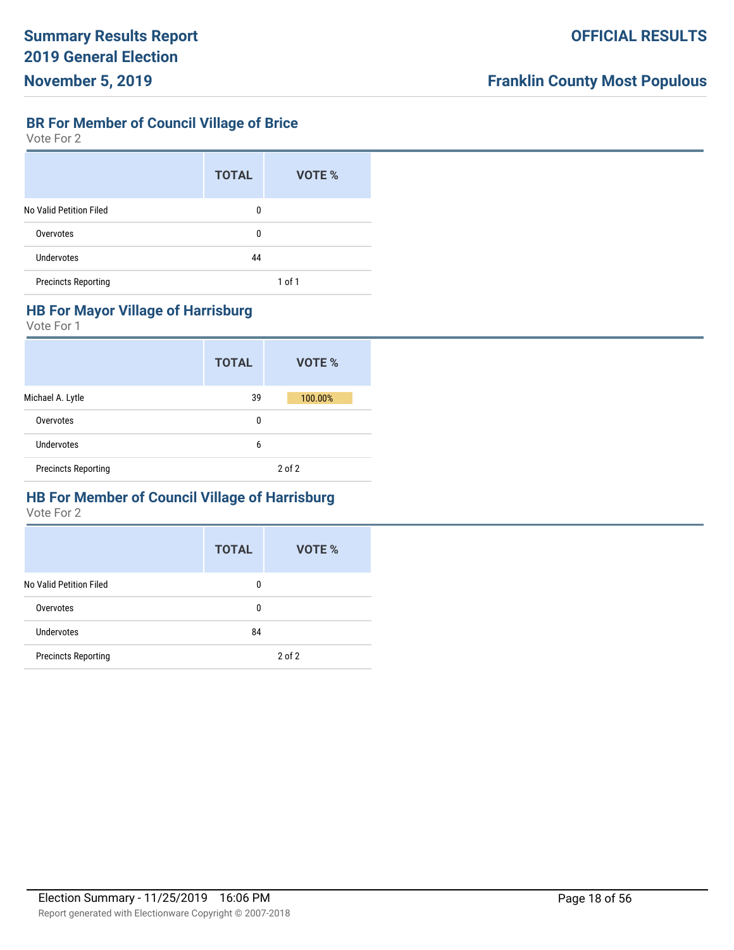# **BR For Member of Council Village of Brice**

Vote For 2

|                            | <b>TOTAL</b> | VOTE %     |
|----------------------------|--------------|------------|
| No Valid Petition Filed    | 0            |            |
| Overvotes                  | 0            |            |
| Undervotes                 | 44           |            |
| <b>Precincts Reporting</b> |              | $1$ of $1$ |

#### **HB For Mayor Village of Harrisburg**

Vote For 1

|                            | <b>TOTAL</b> | VOTE %     |
|----------------------------|--------------|------------|
| Michael A. Lytle           | 39           | 100.00%    |
| Overvotes                  | 0            |            |
| Undervotes                 | 6            |            |
| <b>Precincts Reporting</b> |              | $2$ of $2$ |

# **HB For Member of Council Village of Harrisburg**

|                            | <b>TOTAL</b> | VOTE %     |
|----------------------------|--------------|------------|
| No Valid Petition Filed    | 0            |            |
| Overvotes                  | 0            |            |
| Undervotes                 | 84           |            |
| <b>Precincts Reporting</b> |              | $2$ of $2$ |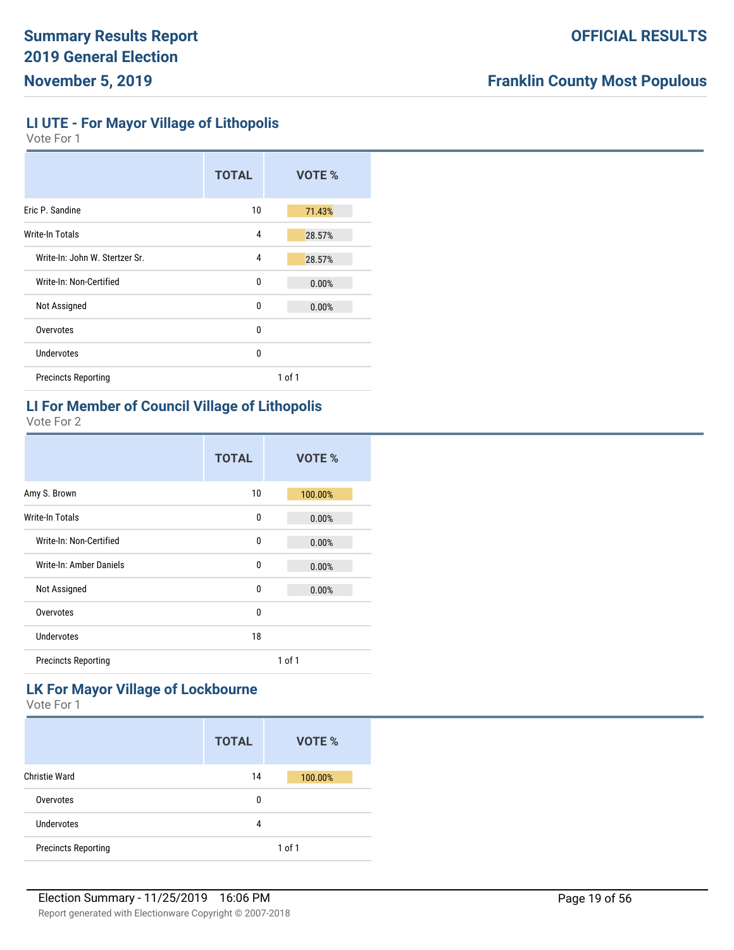**LI UTE - For Mayor Village of Lithopolis**

Vote For 1

|                                | <b>TOTAL</b> |        | VOTE % |  |
|--------------------------------|--------------|--------|--------|--|
| Eric P. Sandine                | 10           |        | 71.43% |  |
| Write-In Totals                | 4            |        | 28.57% |  |
| Write-In: John W. Stertzer Sr. | 4            |        | 28.57% |  |
| Write-In: Non-Certified        | 0            |        | 0.00%  |  |
| Not Assigned                   | $\Omega$     |        | 0.00%  |  |
| Overvotes                      | $\Omega$     |        |        |  |
| Undervotes                     | $\Omega$     |        |        |  |
| <b>Precincts Reporting</b>     |              | 1 of 1 |        |  |
|                                |              |        |        |  |

## **LI For Member of Council Village of Lithopolis**

Vote For 2

|                            | <b>TOTAL</b> |            | VOTE %  |
|----------------------------|--------------|------------|---------|
| Amy S. Brown               | 10           |            | 100.00% |
| Write-In Totals            | 0            |            | 0.00%   |
| Write-In: Non-Certified    | 0            |            | 0.00%   |
| Write-In: Amber Daniels    | 0            |            | 0.00%   |
| Not Assigned               | 0            |            | 0.00%   |
| Overvotes                  | 0            |            |         |
| Undervotes                 | 18           |            |         |
| <b>Precincts Reporting</b> |              | $1$ of $1$ |         |

# **LK For Mayor Village of Lockbourne**

|                            | <b>TOTAL</b> | VOTE %     |
|----------------------------|--------------|------------|
| Christie Ward              | 14           | 100.00%    |
| Overvotes                  | 0            |            |
| Undervotes                 | 4            |            |
| <b>Precincts Reporting</b> |              | $1$ of $1$ |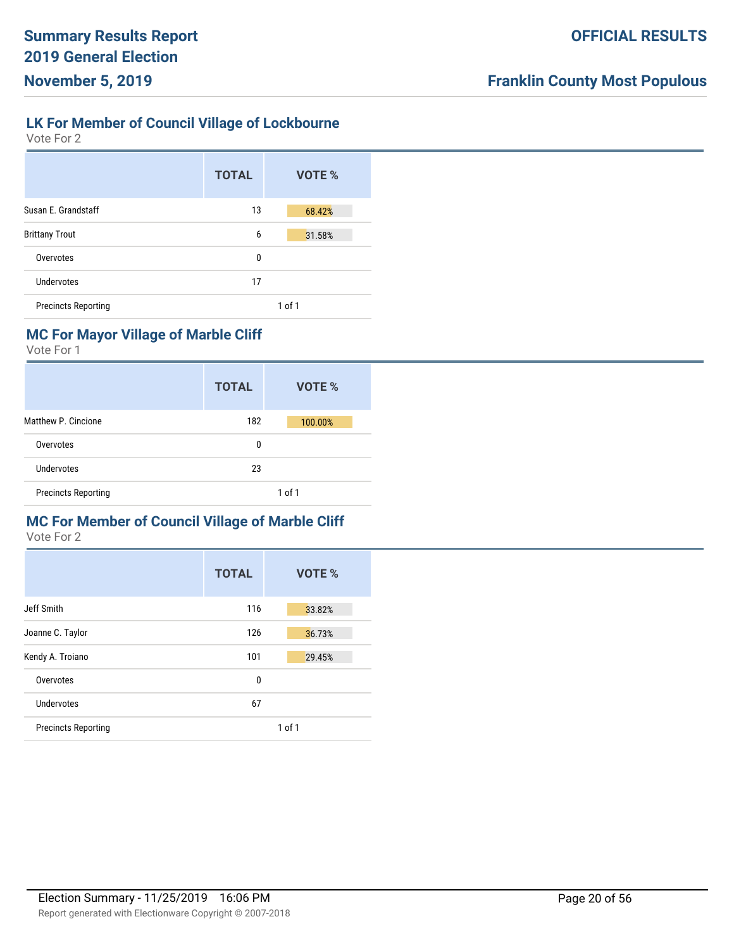## **LK For Member of Council Village of Lockbourne**

Vote For 2

|                            | <b>TOTAL</b> | VOTE %     |
|----------------------------|--------------|------------|
| Susan E. Grandstaff        | 13           | 68.42%     |
| <b>Brittany Trout</b>      | 6            | 31.58%     |
| Overvotes                  | 0            |            |
| Undervotes                 | 17           |            |
| <b>Precincts Reporting</b> |              | $1$ of $1$ |

# **MC For Mayor Village of Marble Cliff**

Vote For 1

|                            | <b>TOTAL</b> | VOTE %     |
|----------------------------|--------------|------------|
| Matthew P. Cincione        | 182          | 100.00%    |
| Overvotes                  | 0            |            |
| Undervotes                 | 23           |            |
| <b>Precincts Reporting</b> |              | $1$ of $1$ |

# **MC For Member of Council Village of Marble Cliff**

|                            | <b>TOTAL</b> | VOTE % |
|----------------------------|--------------|--------|
| Jeff Smith                 | 116          | 33.82% |
| Joanne C. Taylor           | 126          | 36.73% |
| Kendy A. Troiano           | 101          | 29.45% |
| Overvotes                  | 0            |        |
| Undervotes                 | 67           |        |
| <b>Precincts Reporting</b> |              | 1 of 1 |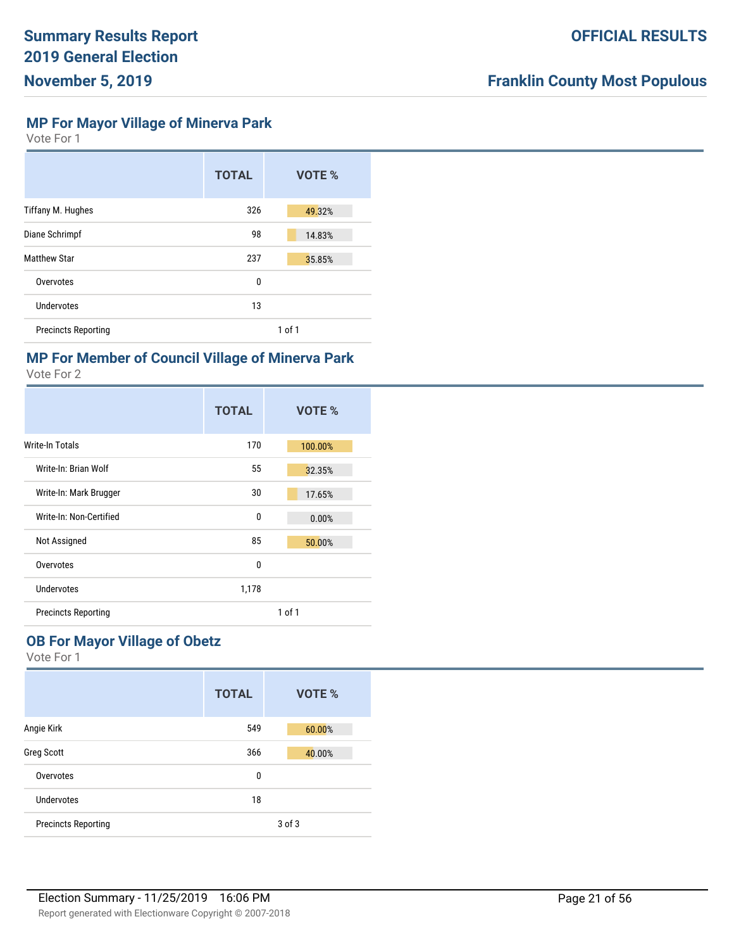**MP For Mayor Village of Minerva Park**

Vote For 1

|                            | <b>TOTAL</b> | VOTE %     |
|----------------------------|--------------|------------|
| Tiffany M. Hughes          | 326          | 49.32%     |
| Diane Schrimpf             | 98           | 14.83%     |
| <b>Matthew Star</b>        | 237          | 35.85%     |
| Overvotes                  | 0            |            |
| Undervotes                 | 13           |            |
| <b>Precincts Reporting</b> |              | $1$ of $1$ |

# **MP For Member of Council Village of Minerva Park**

Vote For 2

|                            | <b>TOTAL</b> |        | VOTE %  |
|----------------------------|--------------|--------|---------|
| Write-In Totals            | 170          |        | 100.00% |
| Write-In: Brian Wolf       | 55           |        | 32.35%  |
| Write-In: Mark Brugger     | 30           |        | 17.65%  |
| Write-In: Non-Certified    | 0            |        | 0.00%   |
| Not Assigned               | 85           |        | 50.00%  |
| Overvotes                  | 0            |        |         |
| Undervotes                 | 1,178        |        |         |
| <b>Precincts Reporting</b> |              | 1 of 1 |         |

# **OB For Mayor Village of Obetz**

|                            | <b>TOTAL</b> | VOTE % |
|----------------------------|--------------|--------|
| Angie Kirk                 | 549          | 60.00% |
| <b>Greg Scott</b>          | 366          | 40.00% |
| Overvotes                  | 0            |        |
| Undervotes                 | 18           |        |
| <b>Precincts Reporting</b> |              | 3 of 3 |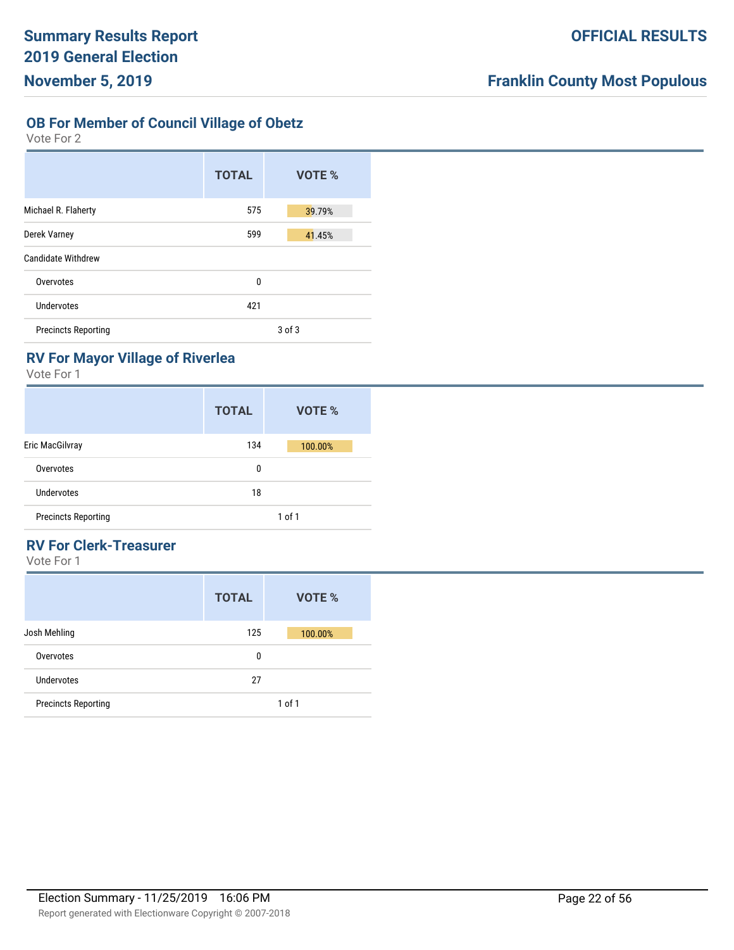# **OB For Member of Council Village of Obetz**

Vote For 2

| <b>TOTAL</b> | VOTE %     |
|--------------|------------|
| 575          | 39.79%     |
| 599          | 41.45%     |
|              |            |
| 0            |            |
| 421          |            |
|              | $3$ of $3$ |
|              |            |

# **RV For Mayor Village of Riverlea**

Vote For 1

|                            | <b>TOTAL</b> | VOTE %  |
|----------------------------|--------------|---------|
| Eric MacGilvray            | 134          | 100.00% |
| Overvotes                  | 0            |         |
| Undervotes                 | 18           |         |
| <b>Precincts Reporting</b> |              | 1 of 1  |

# **RV For Clerk-Treasurer**

|                            | <b>TOTAL</b> | VOTE %     |
|----------------------------|--------------|------------|
| Josh Mehling               | 125          | 100.00%    |
| Overvotes                  | 0            |            |
| Undervotes                 | 27           |            |
| <b>Precincts Reporting</b> |              | $1$ of $1$ |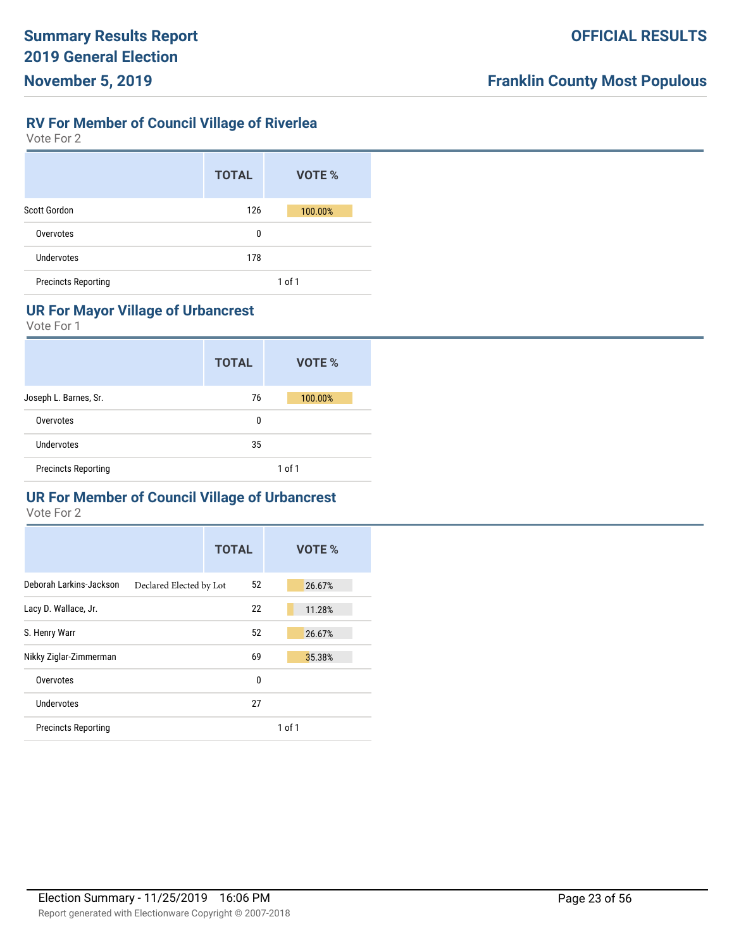# **RV For Member of Council Village of Riverlea**

Vote For 2

|                            | <b>TOTAL</b> | VOTE %     |
|----------------------------|--------------|------------|
| Scott Gordon               | 126          | 100.00%    |
| Overvotes                  | 0            |            |
| <b>Undervotes</b>          | 178          |            |
| <b>Precincts Reporting</b> |              | $1$ of $1$ |

# **UR For Mayor Village of Urbancrest**

Vote For 1

|                            | <b>TOTAL</b> | VOTE %     |
|----------------------------|--------------|------------|
| Joseph L. Barnes, Sr.      | 76           | 100.00%    |
| Overvotes                  | 0            |            |
| Undervotes                 | 35           |            |
| <b>Precincts Reporting</b> |              | $1$ of $1$ |

# **UR For Member of Council Village of Urbancrest**

|                            |                         | <b>TOTAL</b> |            | VOTE % |
|----------------------------|-------------------------|--------------|------------|--------|
| Deborah Larkins-Jackson    | Declared Elected by Lot | 52           |            | 26.67% |
| Lacy D. Wallace, Jr.       |                         | 22           |            | 11.28% |
| S. Henry Warr              |                         | 52           |            | 26.67% |
| Nikky Ziglar-Zimmerman     |                         | 69           |            | 35.38% |
| Overvotes                  |                         | 0            |            |        |
| Undervotes                 |                         | 27           |            |        |
| <b>Precincts Reporting</b> |                         |              | $1$ of $1$ |        |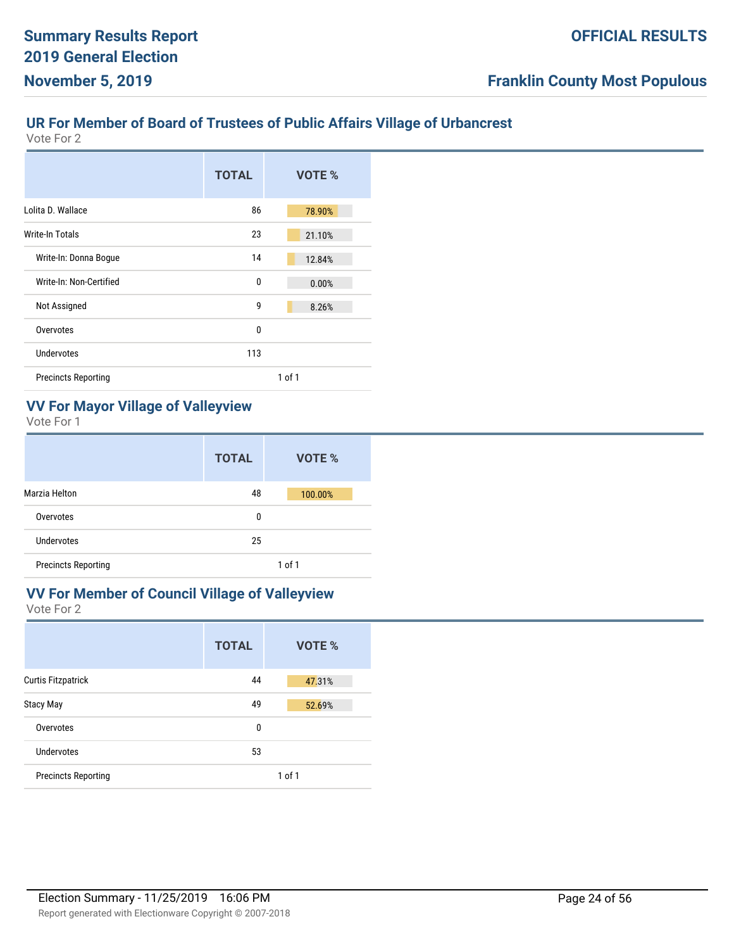## **UR For Member of Board of Trustees of Public Affairs Village of Urbancrest**

Vote For 2

|                            | <b>TOTAL</b> | VOTE %     |
|----------------------------|--------------|------------|
| Lolita D. Wallace          | 86           | 78.90%     |
| Write-In Totals            | 23           | 21.10%     |
| Write-In: Donna Bogue      | 14           | 12.84%     |
| Write-In: Non-Certified    | $\mathbf{0}$ | 0.00%      |
| Not Assigned               | 9            | 8.26%      |
| Overvotes                  | $\mathbf{0}$ |            |
| Undervotes                 | 113          |            |
| <b>Precincts Reporting</b> |              | $1$ of $1$ |

# **VV For Mayor Village of Valleyview**

Vote For 1

|                            | <b>TOTAL</b> | VOTE %  |
|----------------------------|--------------|---------|
| Marzia Helton              | 48           | 100.00% |
| Overvotes                  | 0            |         |
| Undervotes                 | 25           |         |
| <b>Precincts Reporting</b> |              | 1 of 1  |

# **VV For Member of Council Village of Valleyview**

|                            | <b>TOTAL</b> | VOTE %     |
|----------------------------|--------------|------------|
| <b>Curtis Fitzpatrick</b>  | 44           | 47.31%     |
| <b>Stacy May</b>           | 49           | 52.69%     |
| Overvotes                  | 0            |            |
| Undervotes                 | 53           |            |
| <b>Precincts Reporting</b> |              | $1$ of $1$ |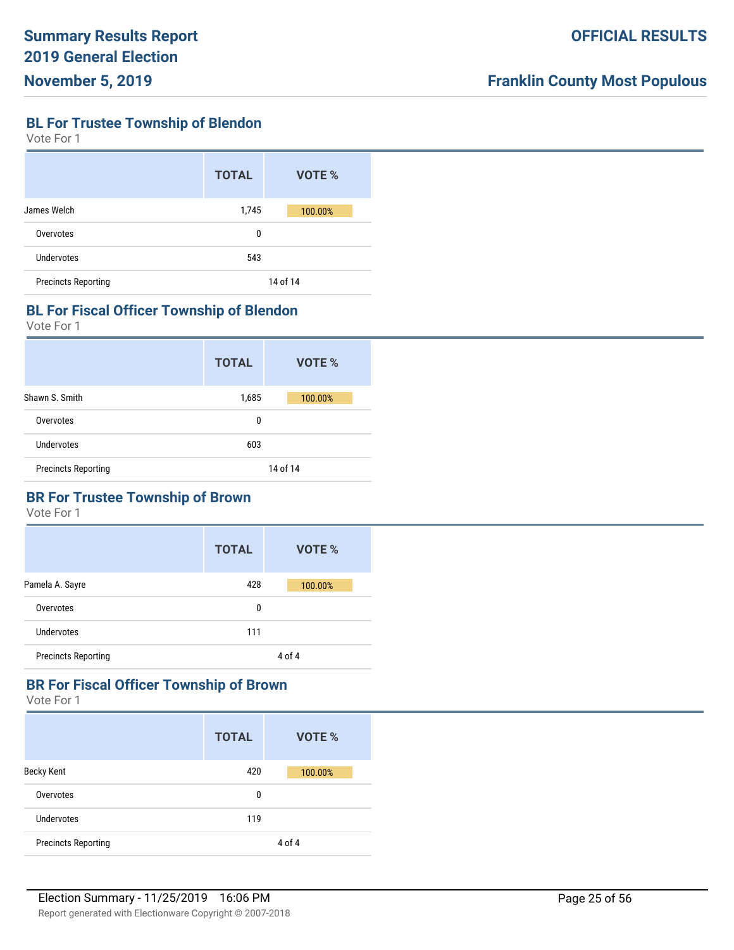**BL For Trustee Township of Blendon**

Vote For 1

|                            | <b>TOTAL</b> | VOTE %   |
|----------------------------|--------------|----------|
| James Welch                | 1,745        | 100.00%  |
| Overvotes                  | 0            |          |
| Undervotes                 | 543          |          |
| <b>Precincts Reporting</b> |              | 14 of 14 |

#### **BL For Fiscal Officer Township of Blendon**

Vote For 1

|                            | <b>TOTAL</b> | VOTE %   |
|----------------------------|--------------|----------|
| Shawn S. Smith             | 1,685        | 100.00%  |
| Overvotes                  | 0            |          |
| Undervotes                 | 603          |          |
| <b>Precincts Reporting</b> |              | 14 of 14 |

## **BR For Trustee Township of Brown**

Vote For 1

|                            | <b>TOTAL</b> | VOTE %  |
|----------------------------|--------------|---------|
| Pamela A. Sayre            | 428          | 100.00% |
| Overvotes                  | 0            |         |
| Undervotes                 | 111          |         |
| <b>Precincts Reporting</b> |              | 4 of 4  |

## **BR For Fiscal Officer Township of Brown**

|                            | <b>TOTAL</b> | VOTE %  |
|----------------------------|--------------|---------|
| <b>Becky Kent</b>          | 420          | 100.00% |
| Overvotes                  | 0            |         |
| <b>Undervotes</b>          | 119          |         |
| <b>Precincts Reporting</b> |              | 4 of 4  |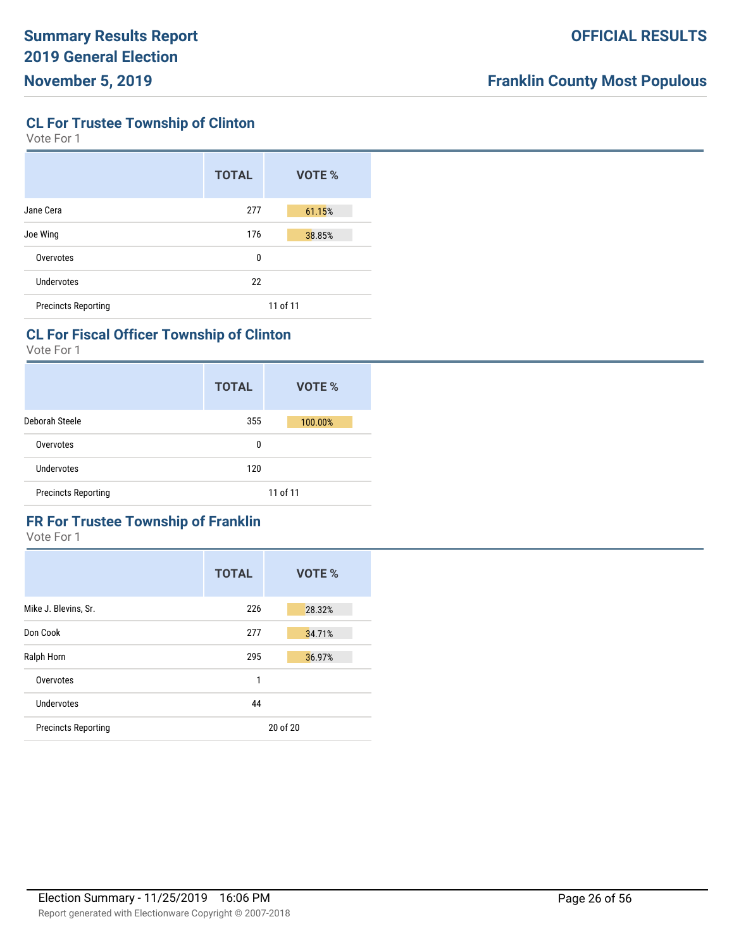**CL For Trustee Township of Clinton**

Vote For 1

|                            | <b>TOTAL</b> | VOTE %   |
|----------------------------|--------------|----------|
| Jane Cera                  | 277          | 61.15%   |
| Joe Wing                   | 176          | 38.85%   |
| Overvotes                  | 0            |          |
| Undervotes                 | 22           |          |
| <b>Precincts Reporting</b> |              | 11 of 11 |

## **CL For Fiscal Officer Township of Clinton**

Vote For 1

|                            | <b>TOTAL</b> | VOTE %   |
|----------------------------|--------------|----------|
| Deborah Steele             | 355          | 100.00%  |
| Overvotes                  | 0            |          |
| Undervotes                 | 120          |          |
| <b>Precincts Reporting</b> |              | 11 of 11 |

# **FR For Trustee Township of Franklin**

|                            | <b>TOTAL</b> | VOTE %   |
|----------------------------|--------------|----------|
| Mike J. Blevins, Sr.       | 226          | 28.32%   |
| Don Cook                   | 277          | 34.71%   |
| Ralph Horn                 | 295          | 36.97%   |
| Overvotes                  | 1            |          |
| Undervotes                 | 44           |          |
| <b>Precincts Reporting</b> |              | 20 of 20 |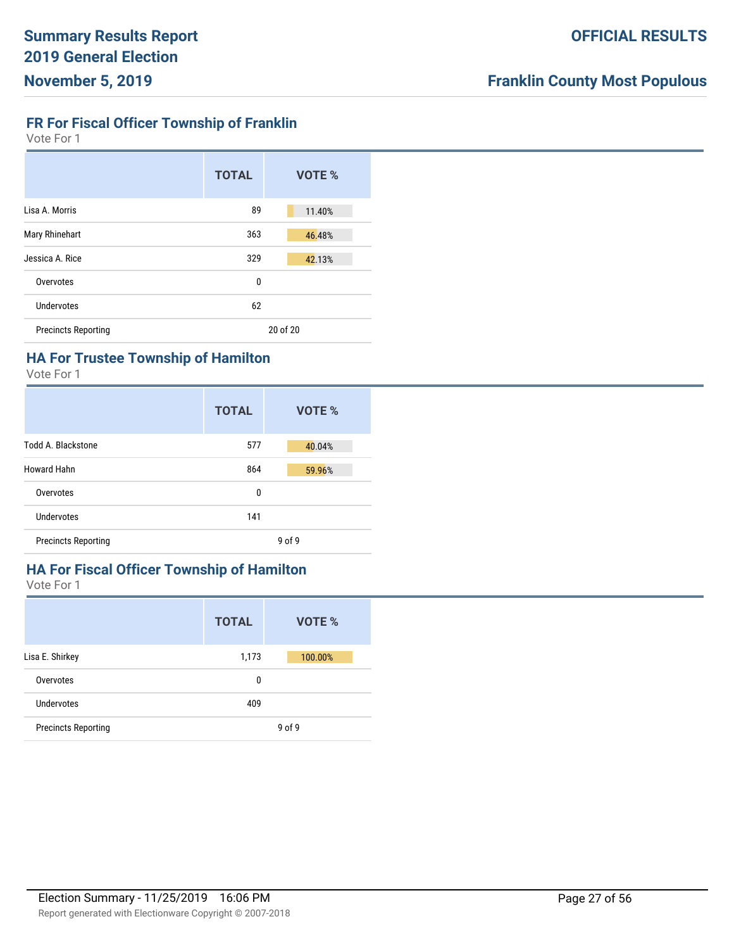# **FR For Fiscal Officer Township of Franklin**

Vote For 1

|                            | <b>TOTAL</b> | VOTE %   |
|----------------------------|--------------|----------|
| Lisa A. Morris             | 89           | 11.40%   |
| Mary Rhinehart             | 363          | 46.48%   |
| Jessica A. Rice            | 329          | 42.13%   |
| Overvotes                  | 0            |          |
| Undervotes                 | 62           |          |
| <b>Precincts Reporting</b> |              | 20 of 20 |

# **HA For Trustee Township of Hamilton**

Vote For 1

|                            | <b>TOTAL</b> | VOTE %     |
|----------------------------|--------------|------------|
| Todd A. Blackstone         | 577          | 40.04%     |
| <b>Howard Hahn</b>         | 864          | 59.96%     |
| Overvotes                  | 0            |            |
| Undervotes                 | 141          |            |
| <b>Precincts Reporting</b> |              | $9$ of $9$ |

# **HA For Fiscal Officer Township of Hamilton**

|                            | <b>TOTAL</b> | VOTE %     |
|----------------------------|--------------|------------|
| Lisa E. Shirkey            | 1,173        | 100.00%    |
| Overvotes                  | 0            |            |
| Undervotes                 | 409          |            |
| <b>Precincts Reporting</b> |              | $9$ of $9$ |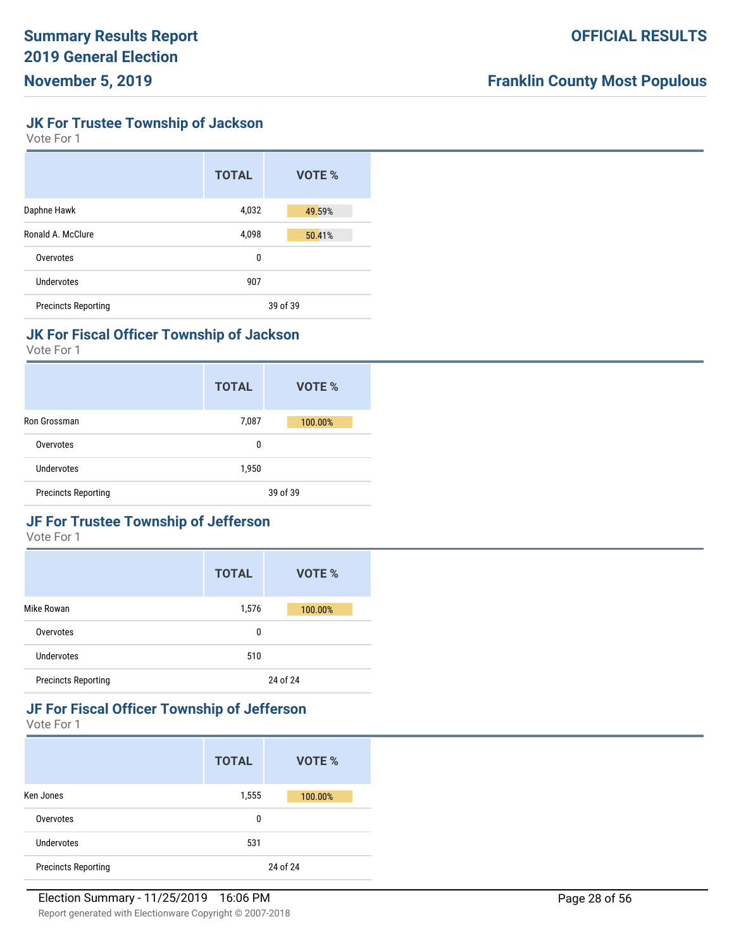**JK For Trustee Township of Jackson**

Vote For 1

|                            | <b>TOTAL</b> | VOTE %   |
|----------------------------|--------------|----------|
| Daphne Hawk                | 4,032        | 49.59%   |
| Ronald A. McClure          | 4,098        | 50.41%   |
| Overvotes                  | 0            |          |
| Undervotes                 | 907          |          |
| <b>Precincts Reporting</b> |              | 39 of 39 |

## **JK For Fiscal Officer Township of Jackson**

Vote For 1

|                            | <b>TOTAL</b> | VOTE %   |
|----------------------------|--------------|----------|
| Ron Grossman               | 7,087        | 100.00%  |
| Overvotes                  | 0            |          |
| Undervotes                 | 1,950        |          |
| <b>Precincts Reporting</b> |              | 39 of 39 |

# **JF For Trustee Township of Jefferson**

Vote For 1

|                            | <b>TOTAL</b> | VOTE %   |
|----------------------------|--------------|----------|
| Mike Rowan                 | 1,576        | 100.00%  |
| Overvotes                  | 0            |          |
| Undervotes                 | 510          |          |
| <b>Precincts Reporting</b> |              | 24 of 24 |

## **JF For Fiscal Officer Township of Jefferson**

|                            | <b>TOTAL</b> | VOTE %   |
|----------------------------|--------------|----------|
| Ken Jones                  | 1,555        | 100.00%  |
| Overvotes                  | 0            |          |
| Undervotes                 | 531          |          |
| <b>Precincts Reporting</b> |              | 24 of 24 |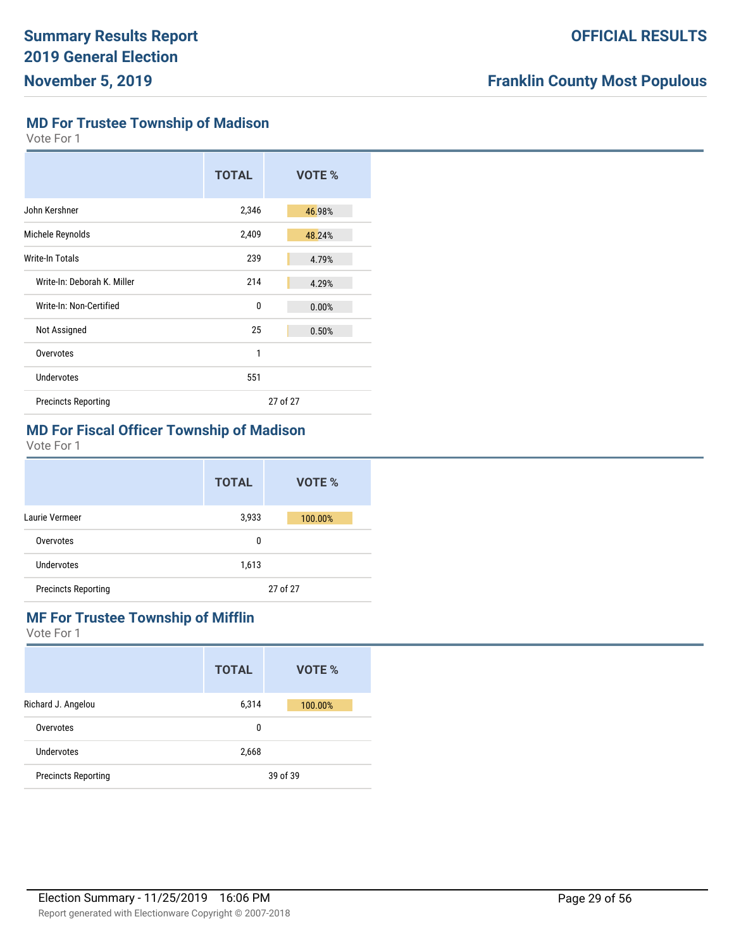**MD For Trustee Township of Madison**

Vote For 1

|                             | <b>TOTAL</b> |          | VOTE % |
|-----------------------------|--------------|----------|--------|
| John Kershner               | 2,346        |          | 46.98% |
| Michele Reynolds            | 2,409        |          | 48.24% |
| Write-In Totals             | 239          |          | 4.79%  |
| Write-In: Deborah K. Miller | 214          |          | 4.29%  |
| Write-In: Non-Certified     | 0            |          | 0.00%  |
| Not Assigned                | 25           |          | 0.50%  |
| Overvotes                   | 1            |          |        |
| Undervotes                  | 551          |          |        |
| <b>Precincts Reporting</b>  |              | 27 of 27 |        |

# **MD For Fiscal Officer Township of Madison**

Vote For 1

|                            | <b>TOTAL</b> | VOTE %   |
|----------------------------|--------------|----------|
| Laurie Vermeer             | 3,933        | 100.00%  |
| Overvotes                  | 0            |          |
| Undervotes                 | 1,613        |          |
| <b>Precincts Reporting</b> |              | 27 of 27 |

## **MF For Trustee Township of Mifflin**

|                            | <b>TOTAL</b> | VOTE %   |
|----------------------------|--------------|----------|
| Richard J. Angelou         | 6,314        | 100.00%  |
| Overvotes                  | 0            |          |
| Undervotes                 | 2,668        |          |
| <b>Precincts Reporting</b> |              | 39 of 39 |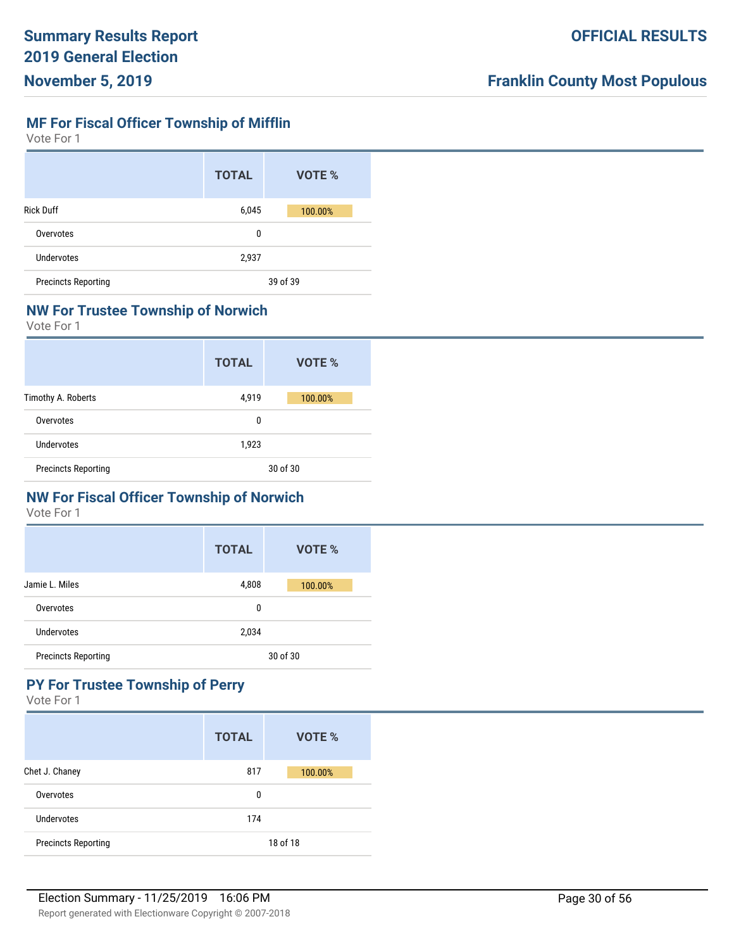## **MF For Fiscal Officer Township of Mifflin**

Vote For 1

|                            | <b>TOTAL</b> | VOTE %   |
|----------------------------|--------------|----------|
| <b>Rick Duff</b>           | 6,045        | 100.00%  |
| Overvotes                  | 0            |          |
| Undervotes                 | 2,937        |          |
| <b>Precincts Reporting</b> |              | 39 of 39 |

#### **NW For Trustee Township of Norwich**

Vote For 1

|                            | <b>TOTAL</b> | VOTE %   |
|----------------------------|--------------|----------|
| Timothy A. Roberts         | 4,919        | 100.00%  |
| Overvotes                  | 0            |          |
| Undervotes                 | 1,923        |          |
| <b>Precincts Reporting</b> |              | 30 of 30 |

# **NW For Fiscal Officer Township of Norwich**

Vote For 1

|                            | <b>TOTAL</b> | VOTE %   |
|----------------------------|--------------|----------|
| Jamie L. Miles             | 4,808        | 100.00%  |
| Overvotes                  | 0            |          |
| Undervotes                 | 2,034        |          |
| <b>Precincts Reporting</b> |              | 30 of 30 |

# **PY For Trustee Township of Perry**

|                            | <b>TOTAL</b> | VOTE %   |
|----------------------------|--------------|----------|
| Chet J. Chaney             | 817          | 100.00%  |
| Overvotes                  | 0            |          |
| Undervotes                 | 174          |          |
| <b>Precincts Reporting</b> |              | 18 of 18 |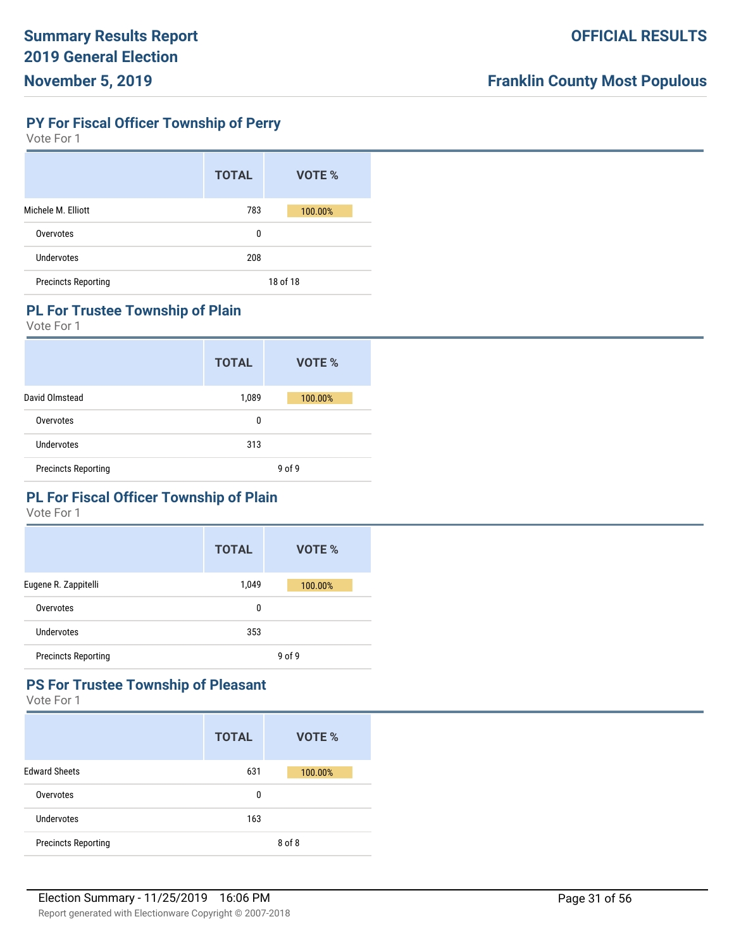## **PY For Fiscal Officer Township of Perry**

Vote For 1

|                            | <b>TOTAL</b> | VOTE %   |
|----------------------------|--------------|----------|
| Michele M. Elliott         | 783          | 100.00%  |
| Overvotes                  | 0            |          |
| Undervotes                 | 208          |          |
| <b>Precincts Reporting</b> |              | 18 of 18 |

#### **PL For Trustee Township of Plain**

Vote For 1

|                            | <b>TOTAL</b> | VOTE %  |
|----------------------------|--------------|---------|
| David Olmstead             | 1,089        | 100.00% |
| Overvotes                  | 0            |         |
| Undervotes                 | 313          |         |
| <b>Precincts Reporting</b> |              | 9 of 9  |

# **PL For Fiscal Officer Township of Plain**

Vote For 1

|                            | <b>TOTAL</b> | <b>VOTE %</b> |
|----------------------------|--------------|---------------|
| Eugene R. Zappitelli       | 1,049        | 100.00%       |
| Overvotes                  | 0            |               |
| Undervotes                 | 353          |               |
| <b>Precincts Reporting</b> |              | $9$ of $9$    |

# **PS For Trustee Township of Pleasant**

|                            | <b>TOTAL</b> | VOTE %  |
|----------------------------|--------------|---------|
| <b>Edward Sheets</b>       | 631          | 100.00% |
| Overvotes                  | 0            |         |
| Undervotes                 | 163          |         |
| <b>Precincts Reporting</b> |              | 8 of 8  |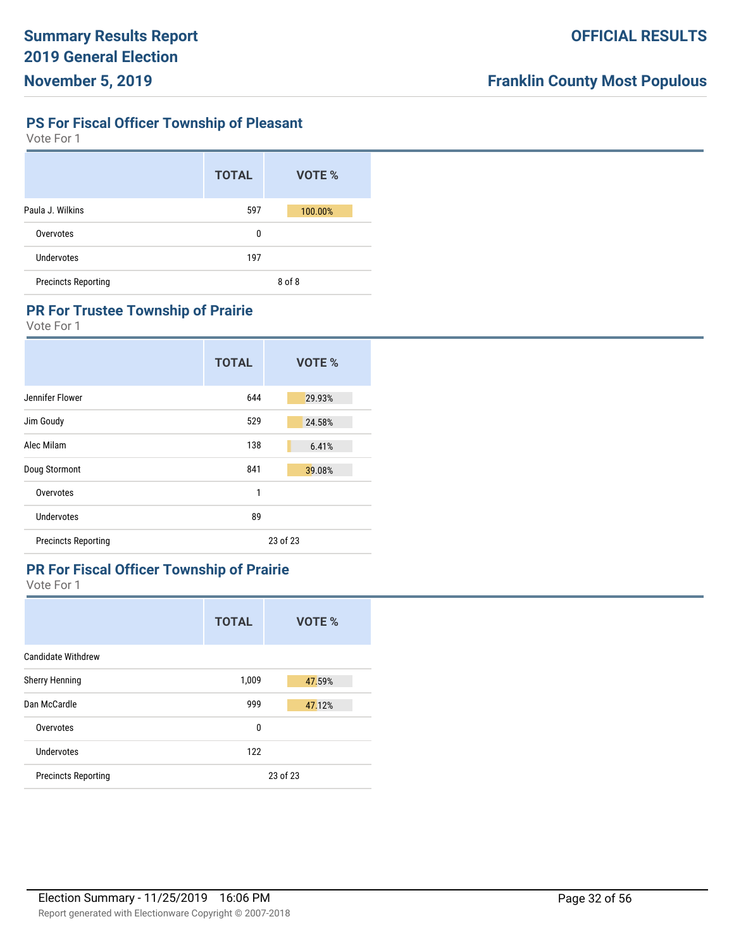## **PS For Fiscal Officer Township of Pleasant**

Vote For 1

|                            | <b>TOTAL</b> | VOTE %  |
|----------------------------|--------------|---------|
| Paula J. Wilkins           | 597          | 100.00% |
| Overvotes                  | 0            |         |
| Undervotes                 | 197          |         |
| <b>Precincts Reporting</b> |              | 8 of 8  |

#### **PR For Trustee Township of Prairie**

Vote For 1

|                            | <b>TOTAL</b> | VOTE %   |
|----------------------------|--------------|----------|
| Jennifer Flower            | 644          | 29.93%   |
| Jim Goudy                  | 529          | 24.58%   |
| Alec Milam                 | 138          | 6.41%    |
| Doug Stormont              | 841          | 39.08%   |
| Overvotes                  | 1            |          |
| Undervotes                 | 89           |          |
| <b>Precincts Reporting</b> |              | 23 of 23 |

## **PR For Fiscal Officer Township of Prairie**

|                            | <b>TOTAL</b> | VOTE %   |
|----------------------------|--------------|----------|
| <b>Candidate Withdrew</b>  |              |          |
| <b>Sherry Henning</b>      | 1,009        | 47.59%   |
| Dan McCardle               | 999          | 47.12%   |
| Overvotes                  | 0            |          |
| Undervotes                 | 122          |          |
| <b>Precincts Reporting</b> |              | 23 of 23 |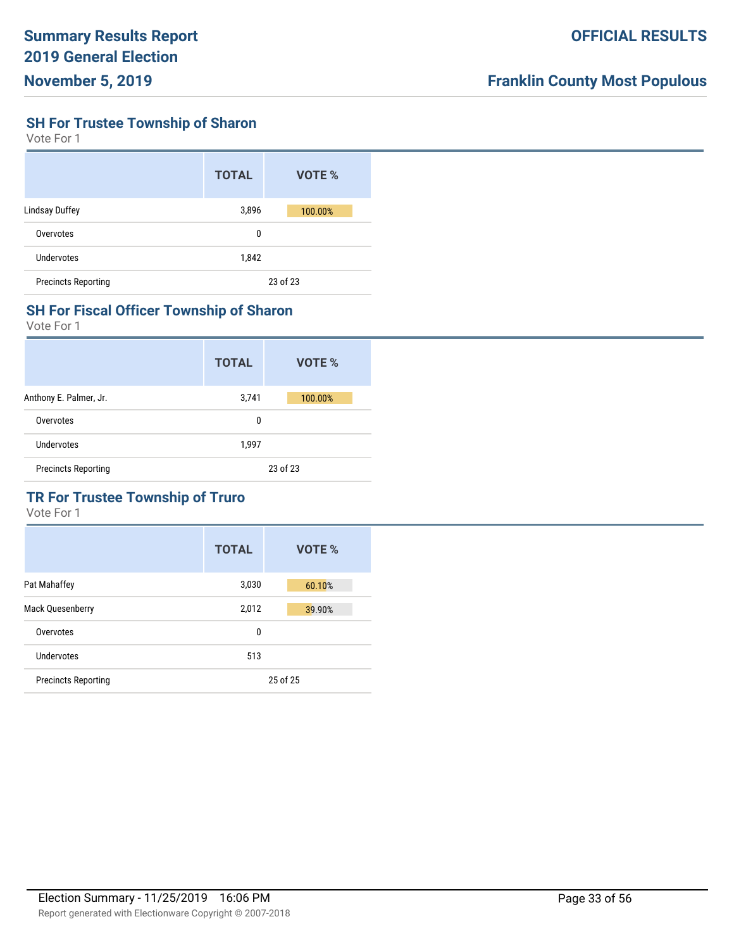#### **SH For Trustee Township of Sharon**

Vote For 1

|                            | <b>TOTAL</b> | VOTE %   |
|----------------------------|--------------|----------|
| <b>Lindsay Duffey</b>      | 3,896        | 100.00%  |
| Overvotes                  | 0            |          |
| Undervotes                 | 1,842        |          |
| <b>Precincts Reporting</b> |              | 23 of 23 |

#### **SH For Fiscal Officer Township of Sharon**

Vote For 1

|                            | <b>TOTAL</b> | VOTE %   |
|----------------------------|--------------|----------|
| Anthony E. Palmer, Jr.     | 3,741        | 100.00%  |
| Overvotes                  | 0            |          |
| Undervotes                 | 1,997        |          |
| <b>Precincts Reporting</b> |              | 23 of 23 |

# **TR For Trustee Township of Truro**

|                            | <b>TOTAL</b> | <b>VOTE %</b> |
|----------------------------|--------------|---------------|
| Pat Mahaffey               | 3,030        | 60.10%        |
| <b>Mack Quesenberry</b>    | 2,012        | 39.90%        |
| Overvotes                  | 0            |               |
| Undervotes                 | 513          |               |
| <b>Precincts Reporting</b> |              | 25 of 25      |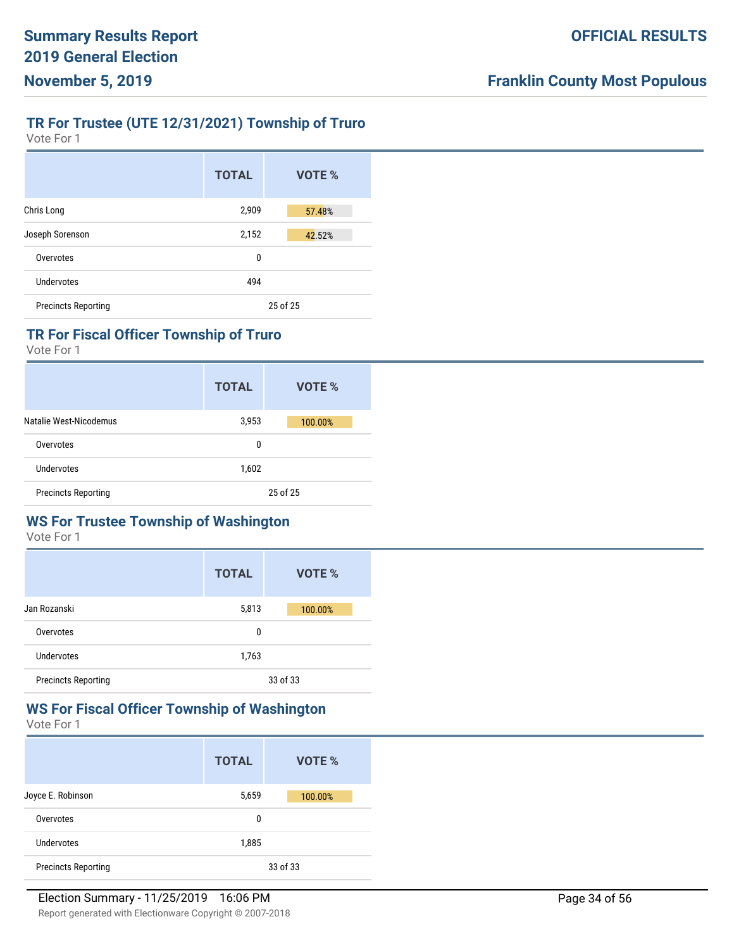# **TR For Trustee (UTE 12/31/2021) Township of Truro**

Vote For 1

|                            | <b>TOTAL</b> | VOTE %   |
|----------------------------|--------------|----------|
| Chris Long                 | 2,909        | 57.48%   |
| Joseph Sorenson            | 2,152        | 42.52%   |
| Overvotes                  | 0            |          |
| Undervotes                 | 494          |          |
| <b>Precincts Reporting</b> |              | 25 of 25 |

## **TR For Fiscal Officer Township of Truro**

Vote For 1

|                            | <b>TOTAL</b> | VOTE %   |
|----------------------------|--------------|----------|
| Natalie West-Nicodemus     | 3,953        | 100.00%  |
| Overvotes                  | 0            |          |
| Undervotes                 | 1,602        |          |
| <b>Precincts Reporting</b> |              | 25 of 25 |

# **WS For Trustee Township of Washington**

Vote For 1

|                            | <b>TOTAL</b> | VOTE %   |
|----------------------------|--------------|----------|
| Jan Rozanski               | 5,813        | 100.00%  |
| Overvotes                  | 0            |          |
| Undervotes                 | 1,763        |          |
| <b>Precincts Reporting</b> |              | 33 of 33 |

# **WS For Fiscal Officer Township of Washington**

|                            | <b>TOTAL</b> | VOTE %   |
|----------------------------|--------------|----------|
| Joyce E. Robinson          | 5,659        | 100.00%  |
| Overvotes                  | 0            |          |
| Undervotes                 | 1,885        |          |
| <b>Precincts Reporting</b> |              | 33 of 33 |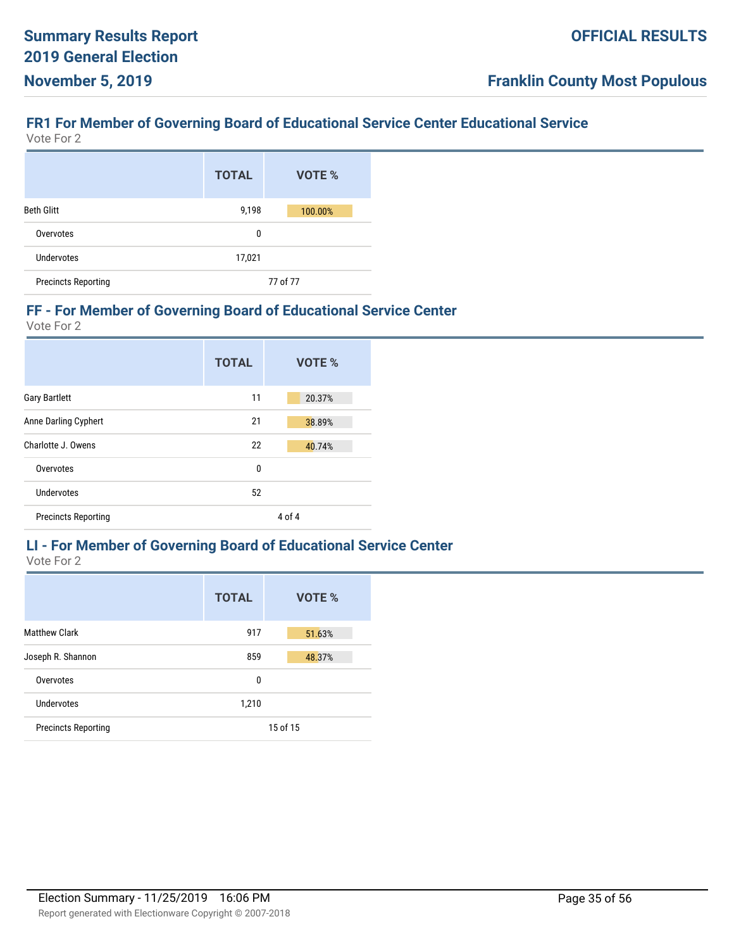# **FR1 For Member of Governing Board of Educational Service Center Educational Service**

Vote For 2

|                            | <b>TOTAL</b> | <b>VOTE %</b> |
|----------------------------|--------------|---------------|
| <b>Beth Glitt</b>          | 9,198        | 100.00%       |
| Overvotes                  | 0            |               |
| Undervotes                 | 17,021       |               |
| <b>Precincts Reporting</b> |              | 77 of 77      |

#### **FF - For Member of Governing Board of Educational Service Center**

Vote For 2

|                            | <b>TOTAL</b> | VOTE % |
|----------------------------|--------------|--------|
| <b>Gary Bartlett</b>       | 11           | 20.37% |
| Anne Darling Cyphert       | 21           | 38.89% |
| Charlotte J. Owens         | 22           | 40.74% |
| Overvotes                  | $\mathbf{0}$ |        |
| Undervotes                 | 52           |        |
| <b>Precincts Reporting</b> |              | 4 of 4 |

#### **LI - For Member of Governing Board of Educational Service Center** Vote For 2

|                            | <b>TOTAL</b> | VOTE %   |
|----------------------------|--------------|----------|
| <b>Matthew Clark</b>       | 917          | 51.63%   |
| Joseph R. Shannon          | 859          | 48.37%   |
| Overvotes                  | 0            |          |
| Undervotes                 | 1,210        |          |
| <b>Precincts Reporting</b> |              | 15 of 15 |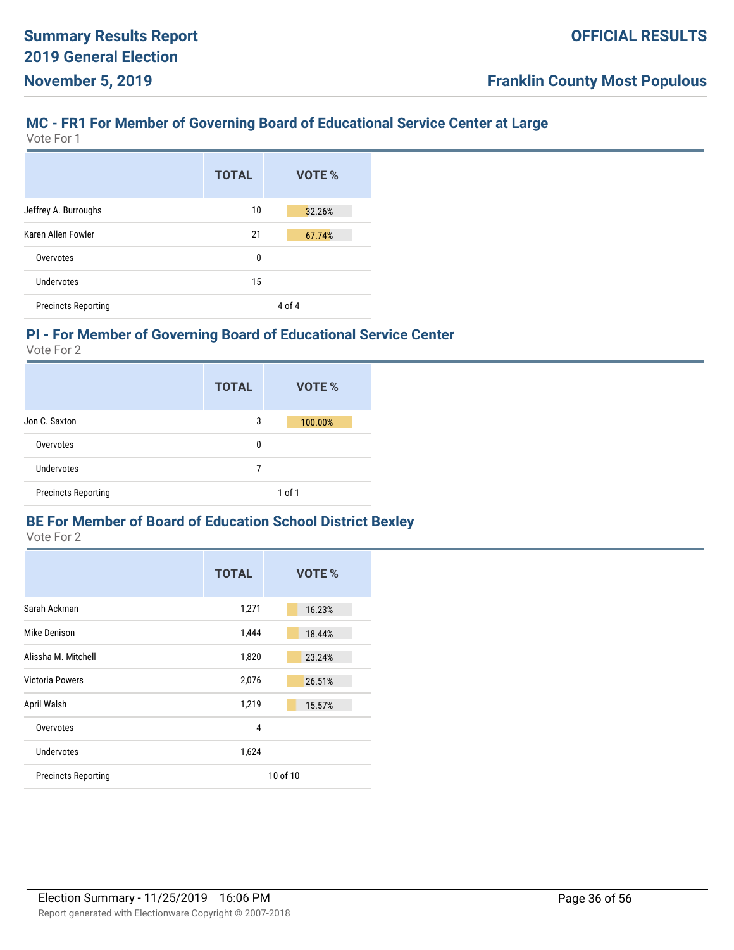# **MC - FR1 For Member of Governing Board of Educational Service Center at Large**

Vote For 1

|                            | <b>TOTAL</b> | VOTE % |
|----------------------------|--------------|--------|
| Jeffrey A. Burroughs       | 10           | 32.26% |
| Karen Allen Fowler         | 21           | 67.74% |
| Overvotes                  | 0            |        |
| Undervotes                 | 15           |        |
| <b>Precincts Reporting</b> |              | 4 of 4 |

## **PI - For Member of Governing Board of Educational Service Center**

Vote For 2

|                            | <b>TOTAL</b> | VOTE %     |
|----------------------------|--------------|------------|
| Jon C. Saxton              | 3            | 100.00%    |
| Overvotes                  | 0            |            |
| Undervotes                 | 7            |            |
| <b>Precincts Reporting</b> |              | $1$ of $1$ |

#### **BE For Member of Board of Education School District Bexley**

|                            | <b>TOTAL</b> | VOTE %   |
|----------------------------|--------------|----------|
| Sarah Ackman               | 1,271        | 16.23%   |
| Mike Denison               | 1,444        | 18.44%   |
| Alissha M. Mitchell        | 1,820        | 23.24%   |
| <b>Victoria Powers</b>     | 2,076        | 26.51%   |
| April Walsh                | 1,219        | 15.57%   |
| Overvotes                  | 4            |          |
| Undervotes                 | 1,624        |          |
| <b>Precincts Reporting</b> |              | 10 of 10 |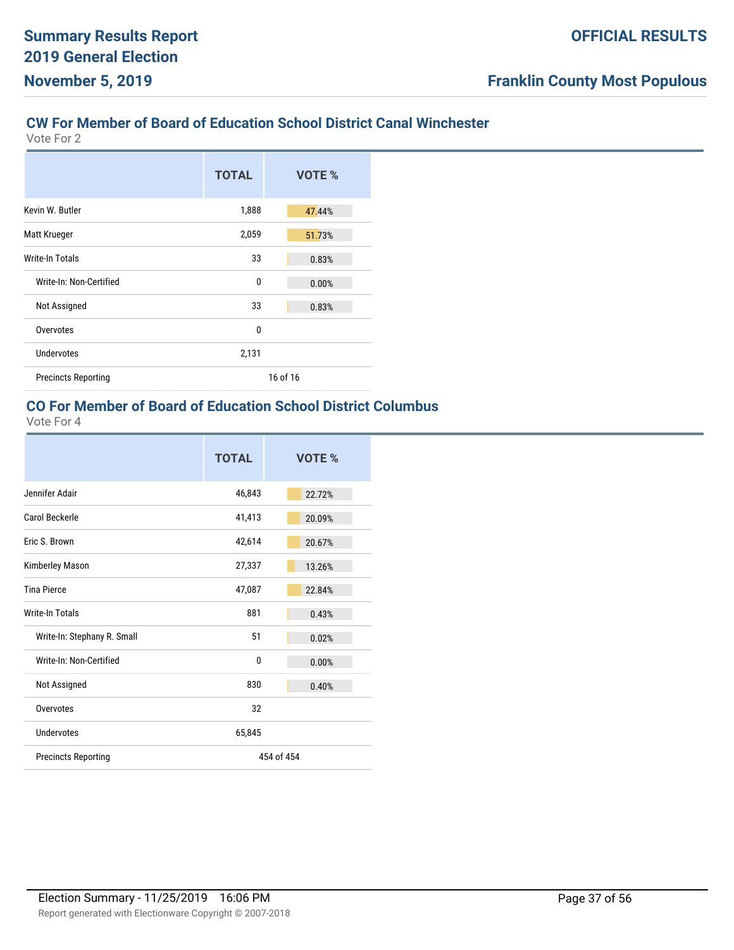# **CW For Member of Board of Education School District Canal Winchester**

Vote For 2

|                            | <b>TOTAL</b> | VOTE %   |
|----------------------------|--------------|----------|
| Kevin W. Butler            | 1,888        | 47.44%   |
| Matt Krueger               | 2,059        | 51.73%   |
| Write-In Totals            | 33           | 0.83%    |
| Write-In: Non-Certified    | $\mathbf{0}$ | 0.00%    |
| Not Assigned               | 33           | 0.83%    |
| Overvotes                  | $\mathbf{0}$ |          |
| <b>Undervotes</b>          | 2,131        |          |
| <b>Precincts Reporting</b> |              | 16 of 16 |

# **CO For Member of Board of Education School District Columbus**

|                             | <b>TOTAL</b> | VOTE %     |
|-----------------------------|--------------|------------|
| Jennifer Adair              | 46,843       | 22.72%     |
| Carol Beckerle              | 41,413       | 20.09%     |
| Fric S. Brown               | 42,614       | 20.67%     |
| Kimberley Mason             | 27,337       | 13.26%     |
| <b>Tina Pierce</b>          | 47,087       | 22.84%     |
| <b>Write-In Totals</b>      | 881          | 0.43%      |
| Write-In: Stephany R. Small | 51           | 0.02%      |
| Write-In: Non-Certified     | $\mathbf{0}$ | 0.00%      |
| Not Assigned                | 830          | 0.40%      |
| Overvotes                   | 32           |            |
| Undervotes                  | 65,845       |            |
| <b>Precincts Reporting</b>  |              | 454 of 454 |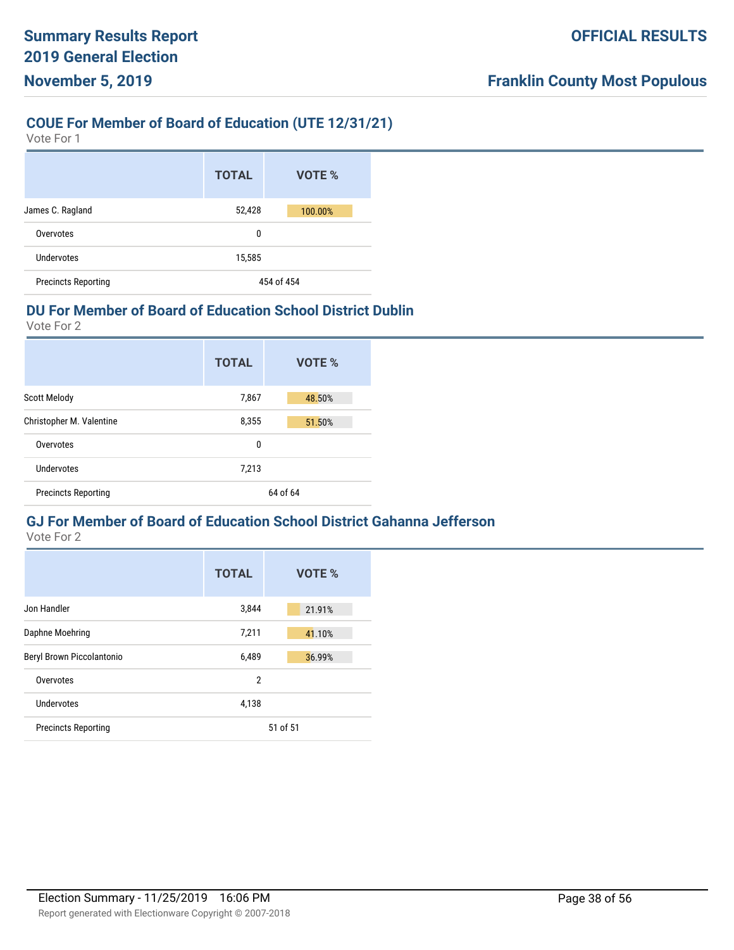#### **COUE For Member of Board of Education (UTE 12/31/21)**

Vote For 1

|                            | <b>TOTAL</b> | <b>VOTE %</b> |
|----------------------------|--------------|---------------|
| James C. Ragland           | 52,428       | 100.00%       |
| Overvotes                  |              | 0             |
| Undervotes                 | 15,585       |               |
| <b>Precincts Reporting</b> |              | 454 of 454    |

#### **DU For Member of Board of Education School District Dublin**

Vote For 2

|                            | <b>TOTAL</b> | <b>VOTE %</b> |
|----------------------------|--------------|---------------|
| <b>Scott Melody</b>        | 7,867        | 48.50%        |
| Christopher M. Valentine   | 8,355        | 51.50%        |
| Overvotes                  | 0            |               |
| Undervotes                 | 7,213        |               |
| <b>Precincts Reporting</b> |              | 64 of 64      |

# **GJ For Member of Board of Education School District Gahanna Jefferson**

|                            | <b>TOTAL</b>   | VOTE %   |
|----------------------------|----------------|----------|
| Jon Handler                | 3,844          | 21.91%   |
| Daphne Moehring            | 7,211          | 41.10%   |
| Beryl Brown Piccolantonio  | 6,489          | 36.99%   |
| Overvotes                  | $\overline{2}$ |          |
| Undervotes                 | 4,138          |          |
| <b>Precincts Reporting</b> |                | 51 of 51 |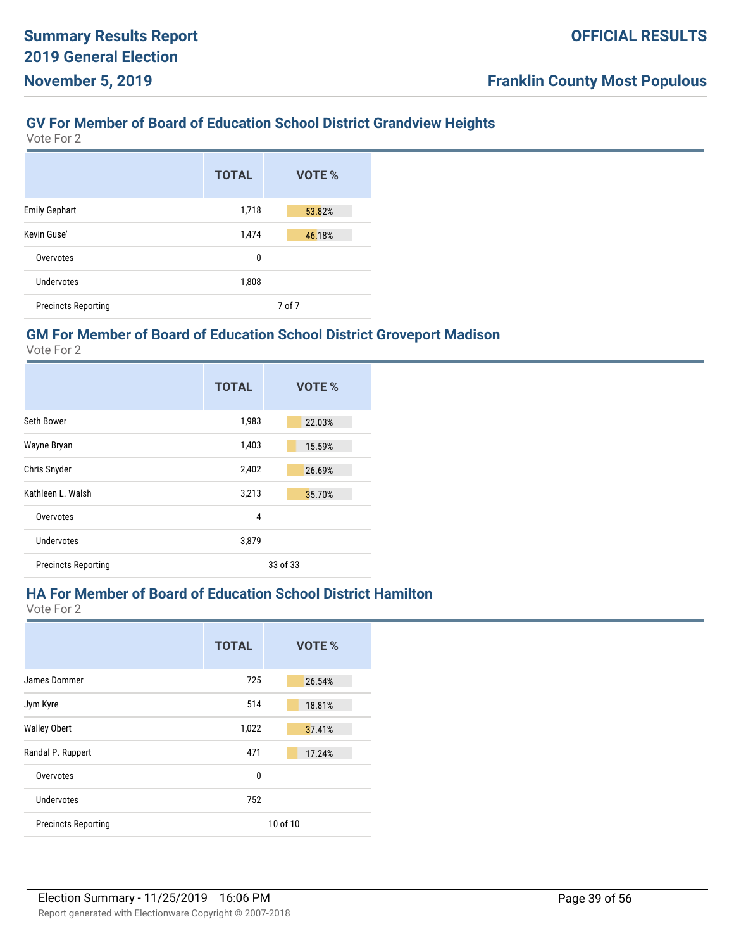#### **GV For Member of Board of Education School District Grandview Heights**

Vote For 2

|                            | <b>TOTAL</b> | VOTE % |
|----------------------------|--------------|--------|
| <b>Emily Gephart</b>       | 1,718        | 53.82% |
| Kevin Guse'                | 1,474        | 46.18% |
| Overvotes                  | 0            |        |
| Undervotes                 | 1,808        |        |
| <b>Precincts Reporting</b> |              | 7 of 7 |

#### **GM For Member of Board of Education School District Groveport Madison**

Vote For 2

|                            | <b>TOTAL</b> | VOTE %   |
|----------------------------|--------------|----------|
| Seth Bower                 | 1,983        | 22.03%   |
| Wayne Bryan                | 1,403        | 15.59%   |
| Chris Snyder               | 2,402        | 26.69%   |
| Kathleen L. Walsh          | 3,213        | 35.70%   |
| Overvotes                  | 4            |          |
| Undervotes                 | 3,879        |          |
| <b>Precincts Reporting</b> |              | 33 of 33 |

#### **HA For Member of Board of Education School District Hamilton**

|                            | <b>TOTAL</b> | VOTE %   |
|----------------------------|--------------|----------|
| James Dommer               | 725          | 26.54%   |
| Jym Kyre                   | 514          | 18.81%   |
| <b>Walley Obert</b>        | 1,022        | 37.41%   |
| Randal P. Ruppert          | 471          | 17.24%   |
| Overvotes                  | 0            |          |
| Undervotes                 | 752          |          |
| <b>Precincts Reporting</b> |              | 10 of 10 |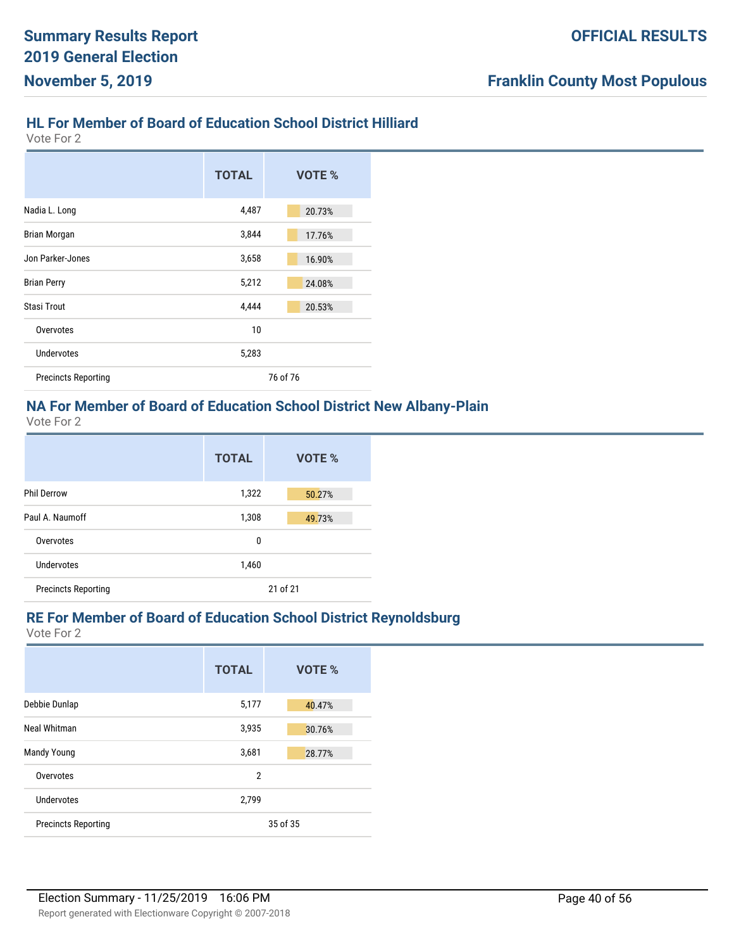# **HL For Member of Board of Education School District Hilliard**

Vote For 2

|                            | <b>TOTAL</b> | VOTE %   |
|----------------------------|--------------|----------|
| Nadia L. Long              | 4,487        | 20.73%   |
| <b>Brian Morgan</b>        | 3,844        | 17.76%   |
| Jon Parker-Jones           | 3,658        | 16.90%   |
| <b>Brian Perry</b>         | 5,212        | 24.08%   |
| <b>Stasi Trout</b>         | 4,444        | 20.53%   |
| Overvotes                  | 10           |          |
| Undervotes                 | 5,283        |          |
| <b>Precincts Reporting</b> |              | 76 of 76 |

#### **NA For Member of Board of Education School District New Albany-Plain**

Vote For 2

|                            | <b>TOTAL</b> | VOTE %   |
|----------------------------|--------------|----------|
| <b>Phil Derrow</b>         | 1,322        | 50.27%   |
| Paul A. Naumoff            | 1,308        | 49.73%   |
| Overvotes                  | 0            |          |
| Undervotes                 | 1,460        |          |
| <b>Precincts Reporting</b> |              | 21 of 21 |

#### **RE For Member of Board of Education School District Reynoldsburg**

|                            | <b>TOTAL</b>   | VOTE %   |
|----------------------------|----------------|----------|
| Debbie Dunlap              | 5,177          | 40.47%   |
| Neal Whitman               | 3,935          | 30.76%   |
| Mandy Young                | 3,681          | 28.77%   |
| Overvotes                  | $\overline{2}$ |          |
| Undervotes                 | 2,799          |          |
| <b>Precincts Reporting</b> |                | 35 of 35 |
|                            |                |          |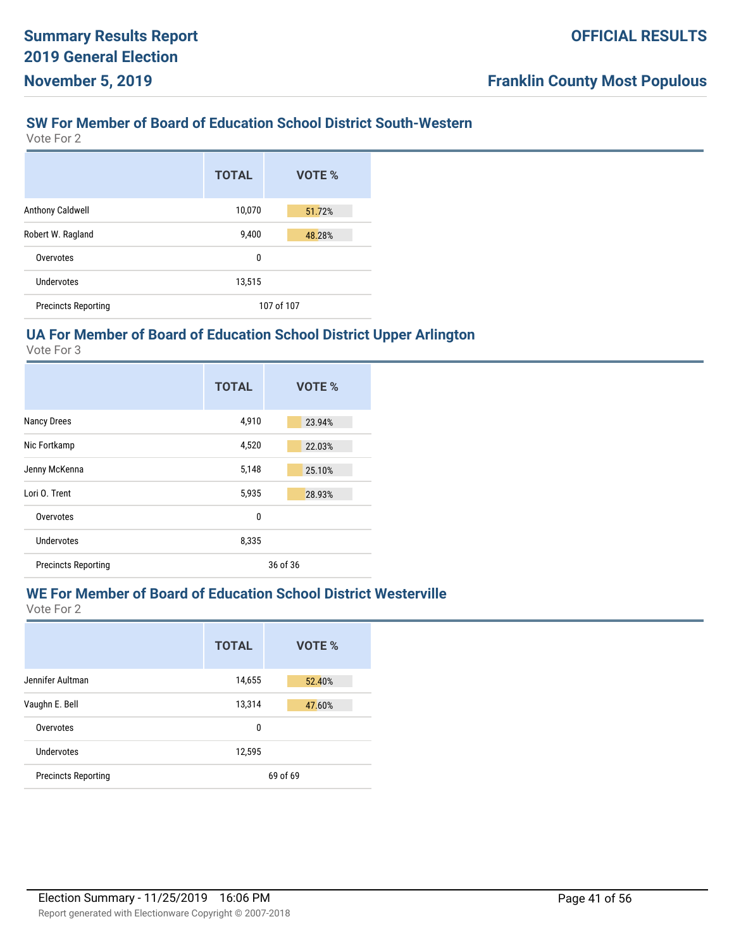# **SW For Member of Board of Education School District South-Western**

Vote For 2

|                            | <b>TOTAL</b> | VOTE %     |
|----------------------------|--------------|------------|
| Anthony Caldwell           | 10,070       | 51.72%     |
| Robert W. Ragland          | 9,400        | 48.28%     |
| Overvotes                  | 0            |            |
| Undervotes                 | 13,515       |            |
| <b>Precincts Reporting</b> |              | 107 of 107 |

## **UA For Member of Board of Education School District Upper Arlington**

Vote For 3

|                            | <b>TOTAL</b> | VOTE %   |
|----------------------------|--------------|----------|
| <b>Nancy Drees</b>         | 4,910        | 23.94%   |
| Nic Fortkamp               | 4,520        | 22.03%   |
| Jenny McKenna              | 5,148        | 25.10%   |
| Lori O. Trent              | 5,935        | 28.93%   |
| Overvotes                  | 0            |          |
| Undervotes                 | 8,335        |          |
| <b>Precincts Reporting</b> |              | 36 of 36 |

# **WE For Member of Board of Education School District Westerville**

|                            | <b>TOTAL</b> | VOTE %   |
|----------------------------|--------------|----------|
| Jennifer Aultman           | 14,655       | 52.40%   |
| Vaughn E. Bell             | 13,314       | 47.60%   |
| Overvotes                  | 0            |          |
| Undervotes                 | 12,595       |          |
| <b>Precincts Reporting</b> |              | 69 of 69 |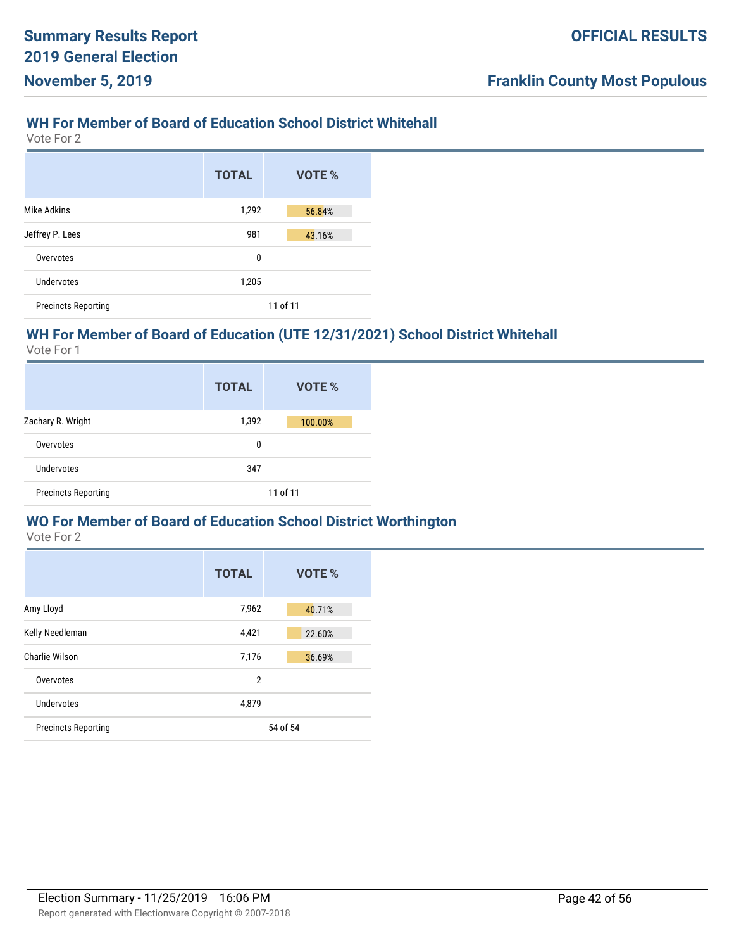## **WH For Member of Board of Education School District Whitehall**

Vote For 2

|                            | <b>TOTAL</b> | VOTE %   |
|----------------------------|--------------|----------|
| Mike Adkins                | 1,292        | 56.84%   |
| Jeffrey P. Lees            | 981          | 43.16%   |
| Overvotes                  | 0            |          |
| Undervotes                 | 1,205        |          |
| <b>Precincts Reporting</b> |              | 11 of 11 |

## **WH For Member of Board of Education (UTE 12/31/2021) School District Whitehall**

Vote For 1

|                            | <b>TOTAL</b> | VOTE %   |
|----------------------------|--------------|----------|
| Zachary R. Wright          | 1,392        | 100.00%  |
| Overvotes                  | 0            |          |
| <b>Undervotes</b>          | 347          |          |
| <b>Precincts Reporting</b> |              | 11 of 11 |

#### **WO For Member of Board of Education School District Worthington**

|                            | <b>TOTAL</b>   | VOTE %   |
|----------------------------|----------------|----------|
| Amy Lloyd                  | 7,962          | 40.71%   |
| Kelly Needleman            | 4,421          | 22.60%   |
| Charlie Wilson             | 7,176          | 36.69%   |
| Overvotes                  | $\overline{2}$ |          |
| Undervotes                 | 4,879          |          |
| <b>Precincts Reporting</b> |                | 54 of 54 |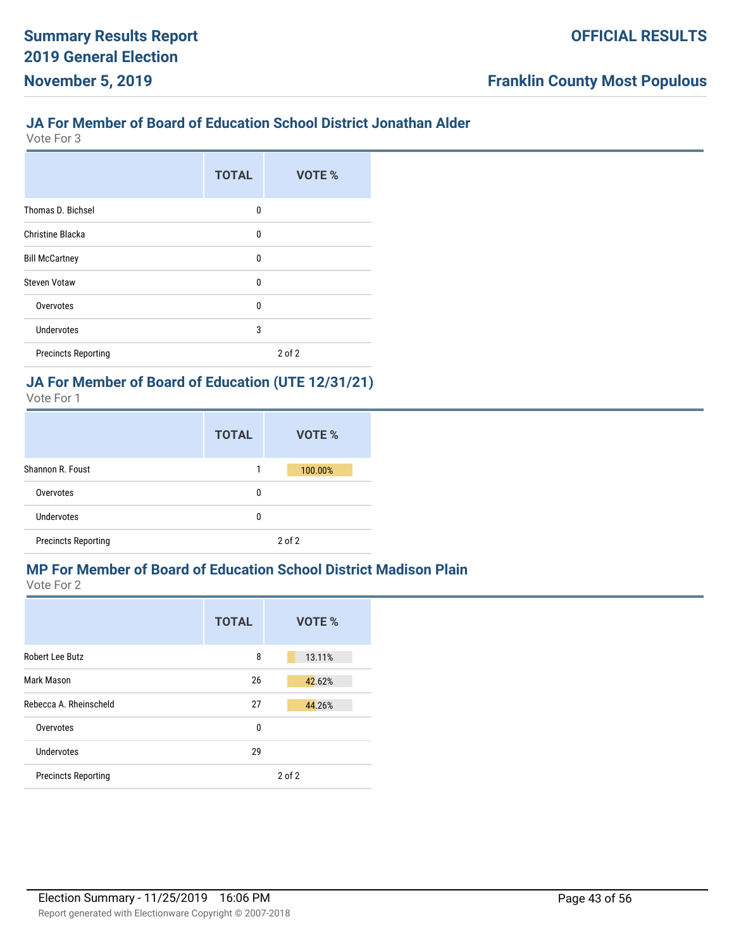#### **JA For Member of Board of Education School District Jonathan Alder**

Vote For 3

|                            | <b>TOTAL</b> | VOTE %     |
|----------------------------|--------------|------------|
| Thomas D. Bichsel          | 0            |            |
| Christine Blacka           | 0            |            |
| <b>Bill McCartney</b>      | 0            |            |
| <b>Steven Votaw</b>        | 0            |            |
| Overvotes                  | 0            |            |
| <b>Undervotes</b>          | 3            |            |
| <b>Precincts Reporting</b> |              | $2$ of $2$ |

# **JA For Member of Board of Education (UTE 12/31/21)**

Vote For 1

|                            | <b>TOTAL</b> | VOTE %  |
|----------------------------|--------------|---------|
| Shannon R. Foust           |              | 100.00% |
| Overvotes                  | 0            |         |
| Undervotes                 | 0            |         |
| <b>Precincts Reporting</b> |              | 2 of 2  |

# **MP For Member of Board of Education School District Madison Plain**

|                            | <b>TOTAL</b> | VOTE %     |
|----------------------------|--------------|------------|
| Robert Lee Butz            | 8            | 13.11%     |
| Mark Mason                 | 26           | 42.62%     |
| Rebecca A. Rheinscheld     | 27           | 44.26%     |
| Overvotes                  | 0            |            |
| Undervotes                 | 29           |            |
| <b>Precincts Reporting</b> |              | $2$ of $2$ |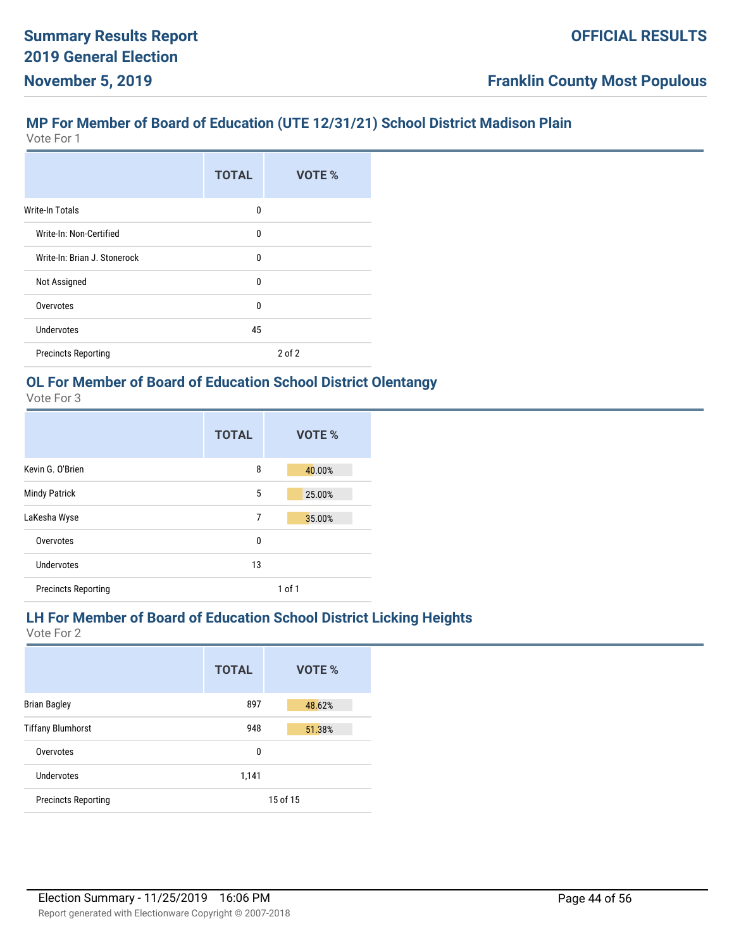## **MP For Member of Board of Education (UTE 12/31/21) School District Madison Plain**

Vote For 1

|                              | <b>TOTAL</b> | VOTE %     |
|------------------------------|--------------|------------|
| Write-In Totals              | 0            |            |
| Write-In: Non-Certified      | 0            |            |
| Write-In: Brian J. Stonerock | 0            |            |
| Not Assigned                 | 0            |            |
| Overvotes                    | $\Omega$     |            |
| Undervotes                   | 45           |            |
| <b>Precincts Reporting</b>   |              | $2$ of $2$ |

# **OL For Member of Board of Education School District Olentangy**

Vote For 3

|                            | <b>TOTAL</b> | VOTE % |
|----------------------------|--------------|--------|
| Kevin G. O'Brien           | 8            | 40.00% |
| <b>Mindy Patrick</b>       | 5            | 25.00% |
| LaKesha Wyse               | 7            | 35.00% |
| Overvotes                  | 0            |        |
| Undervotes                 | 13           |        |
| <b>Precincts Reporting</b> |              | 1 of 1 |

#### **LH For Member of Board of Education School District Licking Heights**

|                            | <b>TOTAL</b> | <b>VOTE %</b> |
|----------------------------|--------------|---------------|
| <b>Brian Bagley</b>        | 897          | 48.62%        |
| <b>Tiffany Blumhorst</b>   | 948          | 51.38%        |
| Overvotes                  | 0            |               |
| Undervotes                 | 1,141        |               |
| <b>Precincts Reporting</b> |              | 15 of 15      |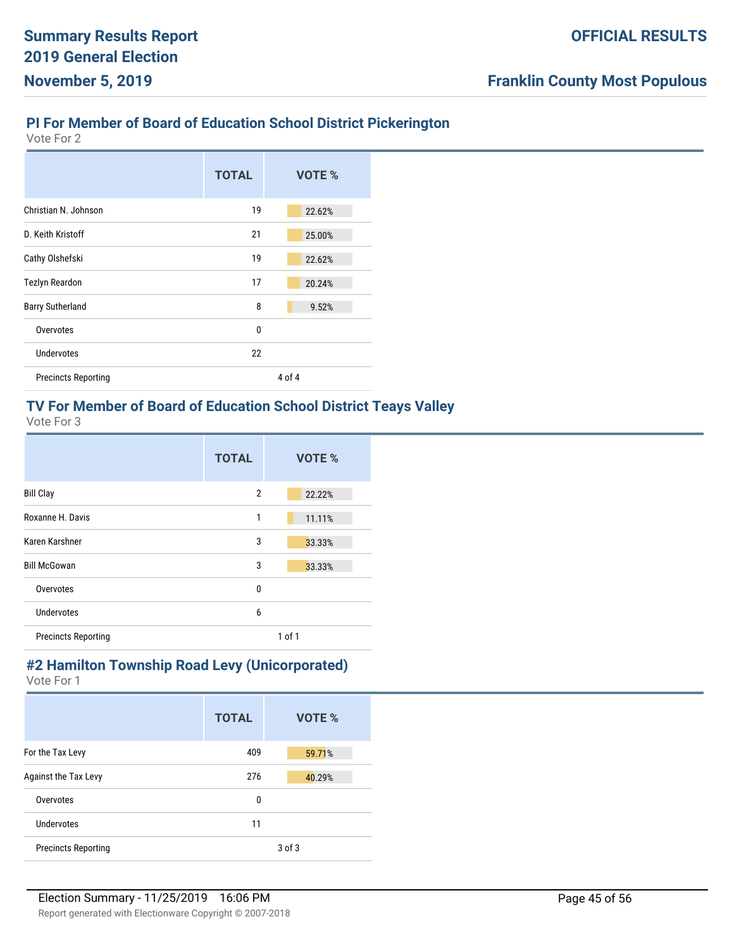## **PI For Member of Board of Education School District Pickerington**

Vote For 2

|                            | <b>TOTAL</b> | VOTE % |
|----------------------------|--------------|--------|
| Christian N. Johnson       | 19           | 22.62% |
| D. Keith Kristoff          | 21           | 25.00% |
| Cathy Olshefski            | 19           | 22.62% |
| <b>Tezlyn Reardon</b>      | 17           | 20.24% |
| <b>Barry Sutherland</b>    | 8            | 9.52%  |
| Overvotes                  | 0            |        |
| <b>Undervotes</b>          | 22           |        |
| <b>Precincts Reporting</b> |              | 4 of 4 |

#### **TV For Member of Board of Education School District Teays Valley**

Vote For 3

|                            | <b>TOTAL</b>   | VOTE %     |
|----------------------------|----------------|------------|
| <b>Bill Clay</b>           | $\overline{2}$ | 22.22%     |
| Roxanne H. Davis           | 1              | 11.11%     |
| Karen Karshner             | 3              | 33.33%     |
| <b>Bill McGowan</b>        | 3              | 33.33%     |
| Overvotes                  | 0              |            |
| Undervotes                 | 6              |            |
| <b>Precincts Reporting</b> |                | $1$ of $1$ |

# **#2 Hamilton Township Road Levy (Unicorporated)**

|                            | <b>TOTAL</b> | <b>VOTE %</b> |
|----------------------------|--------------|---------------|
| For the Tax Levy           | 409          | 59.71%        |
| Against the Tax Levy       | 276          | 40.29%        |
| Overvotes                  | 0            |               |
| Undervotes                 | 11           |               |
| <b>Precincts Reporting</b> |              | $3$ of $3$    |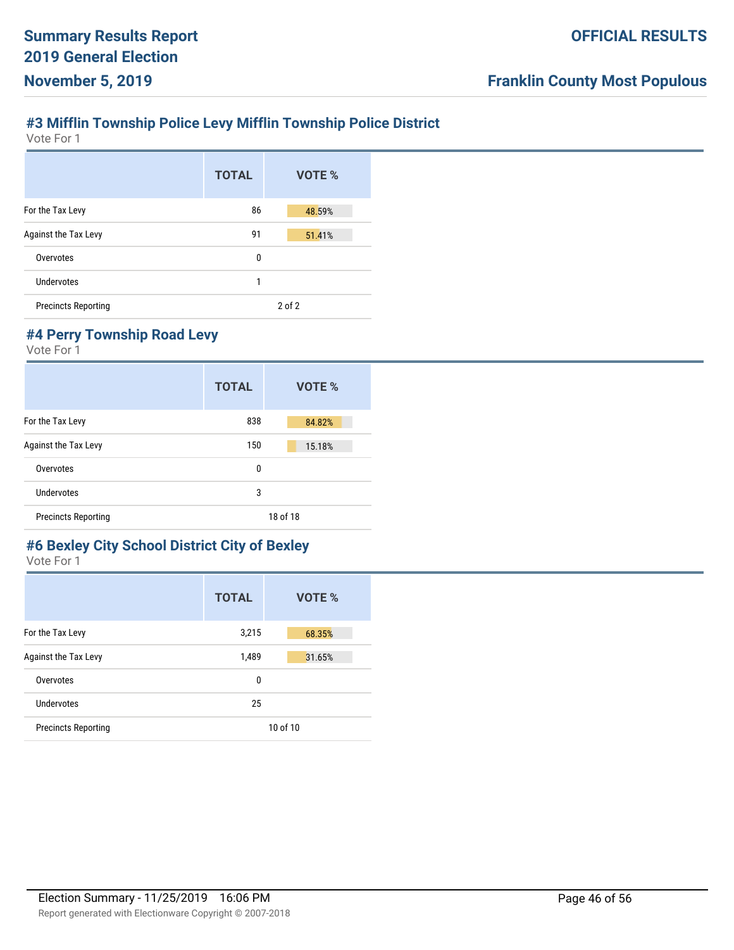# **#3 Mifflin Township Police Levy Mifflin Township Police District**

Vote For 1

|                            | <b>TOTAL</b> | VOTE %     |
|----------------------------|--------------|------------|
| For the Tax Levy           | 86           | 48.59%     |
| Against the Tax Levy       | 91           | 51.41%     |
| Overvotes                  | 0            |            |
| Undervotes                 | 1            |            |
| <b>Precincts Reporting</b> |              | $2$ of $2$ |

# **#4 Perry Township Road Levy**

Vote For 1

|                            | <b>TOTAL</b> | VOTE %   |
|----------------------------|--------------|----------|
| For the Tax Levy           | 838          | 84.82%   |
| Against the Tax Levy       | 150          | 15.18%   |
| Overvotes                  | 0            |          |
| Undervotes                 | 3            |          |
| <b>Precincts Reporting</b> |              | 18 of 18 |

#### **#6 Bexley City School District City of Bexley** Vote For 1

|                            | <b>TOTAL</b> | VOTE %   |
|----------------------------|--------------|----------|
| For the Tax Levy           | 3,215        | 68.35%   |
| Against the Tax Levy       | 1,489        | 31.65%   |
| Overvotes                  | $\mathbf{0}$ |          |
| Undervotes                 | 25           |          |
| <b>Precincts Reporting</b> |              | 10 of 10 |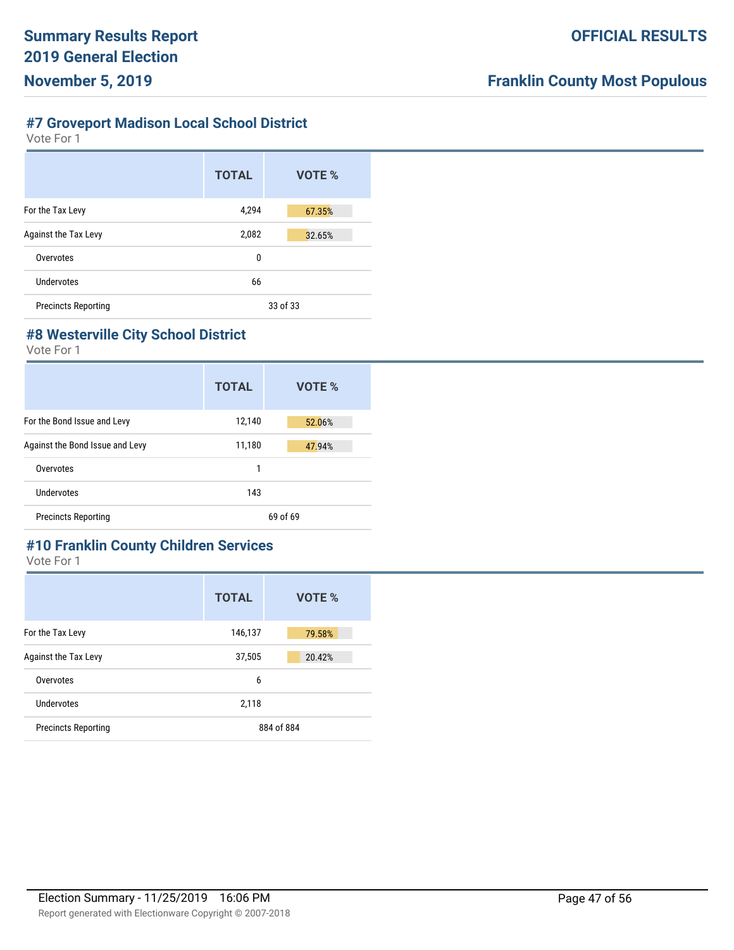# **#7 Groveport Madison Local School District**

Vote For 1

|                             | <b>TOTAL</b> | VOTE %   |
|-----------------------------|--------------|----------|
| For the Tax Levy            | 4,294        | 67.35%   |
| <b>Against the Tax Levy</b> | 2,082        | 32.65%   |
| Overvotes                   | 0            |          |
| Undervotes                  | 66           |          |
| <b>Precincts Reporting</b>  |              | 33 of 33 |

#### **#8 Westerville City School District**

Vote For 1

|                                 | <b>TOTAL</b> | VOTE %   |
|---------------------------------|--------------|----------|
| For the Bond Issue and Levy     | 12,140       | 52.06%   |
| Against the Bond Issue and Levy | 11,180       | 47.94%   |
| Overvotes                       | 1            |          |
| Undervotes                      | 143          |          |
| <b>Precincts Reporting</b>      |              | 69 of 69 |

# **#10 Franklin County Children Services**

|                            | <b>TOTAL</b> | VOTE %     |
|----------------------------|--------------|------------|
| For the Tax Levy           | 146,137      | 79.58%     |
| Against the Tax Levy       | 37,505       | 20.42%     |
| Overvotes                  | 6            |            |
| Undervotes                 | 2,118        |            |
| <b>Precincts Reporting</b> |              | 884 of 884 |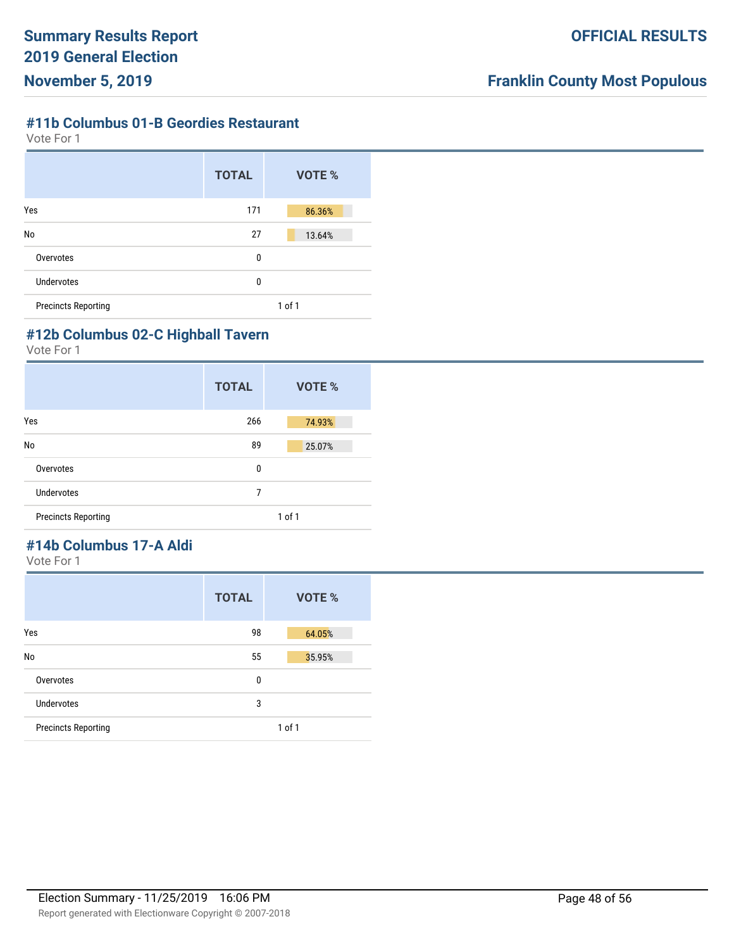#### **#11b Columbus 01-B Geordies Restaurant**

Vote For 1

|                            | <b>TOTAL</b> | <b>VOTE %</b> |
|----------------------------|--------------|---------------|
| Yes                        | 171          | 86.36%        |
| No                         | 27           | 13.64%        |
| Overvotes                  | 0            |               |
| <b>Undervotes</b>          | 0            |               |
| <b>Precincts Reporting</b> |              | 1 of 1        |

## **#12b Columbus 02-C Highball Tavern**

Vote For 1

|                            | <b>TOTAL</b> | VOTE %     |
|----------------------------|--------------|------------|
| Yes                        | 266          | 74.93%     |
| No                         | 89           | 25.07%     |
| Overvotes                  | 0            |            |
| Undervotes                 | 7            |            |
| <b>Precincts Reporting</b> |              | $1$ of $1$ |

# **#14b Columbus 17-A Aldi**

|                            | <b>TOTAL</b> | VOTE %     |
|----------------------------|--------------|------------|
| Yes                        | 98           | 64.05%     |
| No                         | 55           | 35.95%     |
| Overvotes                  | 0            |            |
| <b>Undervotes</b>          | 3            |            |
| <b>Precincts Reporting</b> |              | $1$ of $1$ |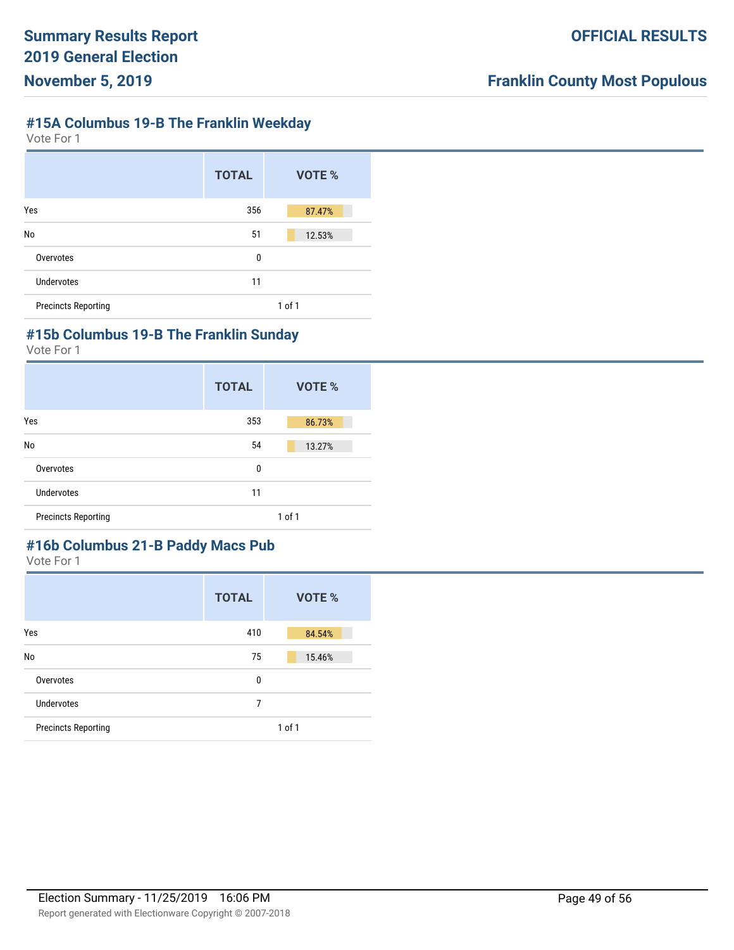## **#15A Columbus 19-B The Franklin Weekday**

Vote For 1

|                            | <b>TOTAL</b> | VOTE %     |
|----------------------------|--------------|------------|
| Yes                        | 356          | 87.47%     |
| No                         | 51           | 12.53%     |
| Overvotes                  | 0            |            |
| Undervotes                 | 11           |            |
| <b>Precincts Reporting</b> |              | $1$ of $1$ |

## **#15b Columbus 19-B The Franklin Sunday**

Vote For 1

|                            | <b>TOTAL</b> | <b>VOTE %</b> |
|----------------------------|--------------|---------------|
| Yes                        | 353          | 86.73%        |
| No                         | 54           | 13.27%        |
| Overvotes                  | 0            |               |
| <b>Undervotes</b>          | 11           |               |
| <b>Precincts Reporting</b> |              | $1$ of $1$    |

# **#16b Columbus 21-B Paddy Macs Pub**

|                            | <b>TOTAL</b> | VOTE %     |
|----------------------------|--------------|------------|
| Yes                        | 410          | 84.54%     |
| No                         | 75           | 15.46%     |
| Overvotes                  | 0            |            |
| Undervotes                 | 7            |            |
| <b>Precincts Reporting</b> |              | $1$ of $1$ |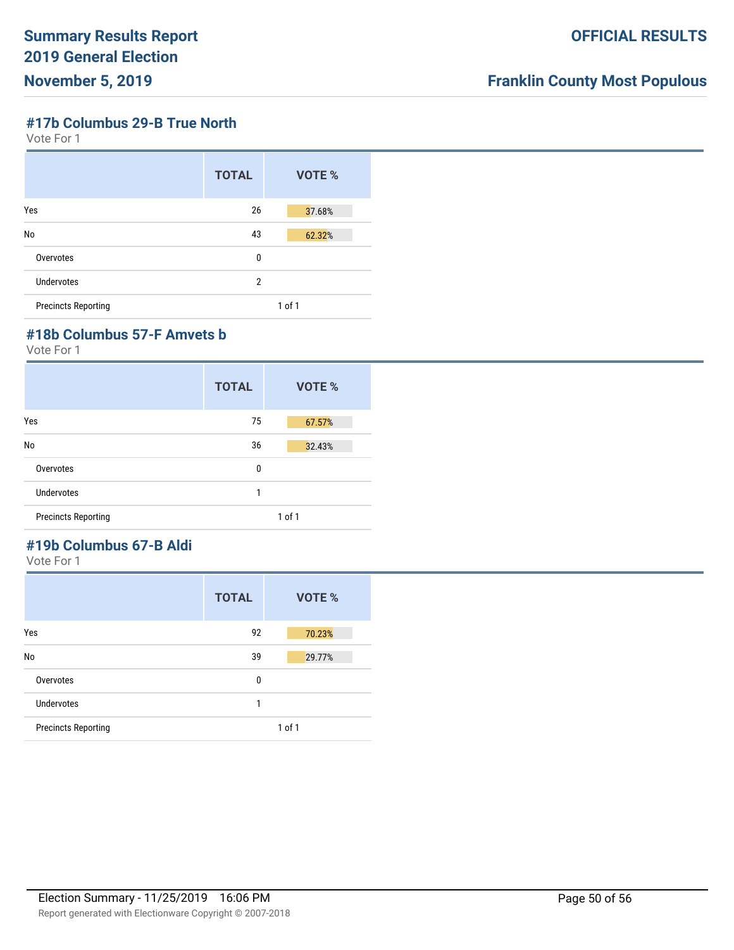#### **#17b Columbus 29-B True North**

Vote For 1

|                            | <b>TOTAL</b>   | VOTE %     |
|----------------------------|----------------|------------|
| Yes                        | 26             | 37.68%     |
| No                         | 43             | 62.32%     |
| Overvotes                  | 0              |            |
| Undervotes                 | $\overline{2}$ |            |
| <b>Precincts Reporting</b> |                | $1$ of $1$ |

## **#18b Columbus 57-F Amvets b**

Vote For 1

|                            | <b>TOTAL</b> | VOTE % |
|----------------------------|--------------|--------|
| Yes                        | 75           | 67.57% |
| No                         | 36           | 32.43% |
| Overvotes                  | 0            |        |
| <b>Undervotes</b>          | 1            |        |
| <b>Precincts Reporting</b> |              | 1 of 1 |

# **#19b Columbus 67-B Aldi**

|                            | <b>TOTAL</b> | VOTE %     |
|----------------------------|--------------|------------|
| Yes                        | 92           | 70.23%     |
| No                         | 39           | 29.77%     |
| Overvotes                  | 0            |            |
| <b>Undervotes</b>          | 1            |            |
| <b>Precincts Reporting</b> |              | $1$ of $1$ |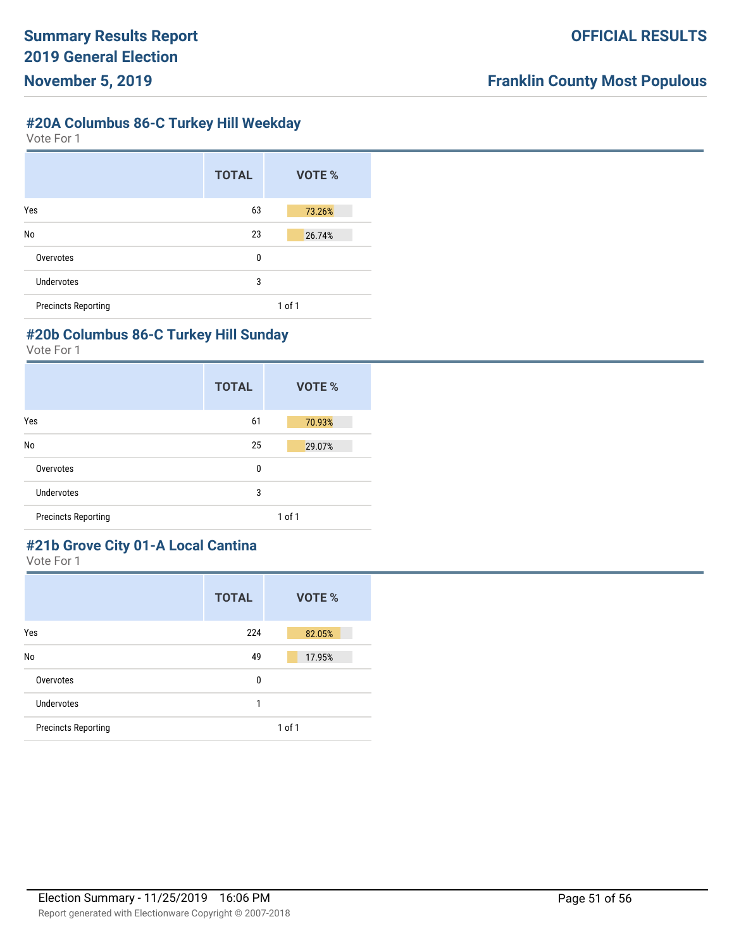# **#20A Columbus 86-C Turkey Hill Weekday**

Vote For 1

|                            | <b>TOTAL</b> | VOTE %     |
|----------------------------|--------------|------------|
| Yes                        | 63           | 73.26%     |
| No                         | 23           | 26.74%     |
| Overvotes                  | 0            |            |
| <b>Undervotes</b>          | 3            |            |
| <b>Precincts Reporting</b> |              | $1$ of $1$ |

## **#20b Columbus 86-C Turkey Hill Sunday**

Vote For 1

|                            | <b>TOTAL</b> | VOTE %     |
|----------------------------|--------------|------------|
| Yes                        | 61           | 70.93%     |
| No                         | 25           | 29.07%     |
| Overvotes                  | 0            |            |
| <b>Undervotes</b>          | 3            |            |
| <b>Precincts Reporting</b> |              | $1$ of $1$ |

# **#21b Grove City 01-A Local Cantina**

|                            | <b>TOTAL</b> | VOTE %     |
|----------------------------|--------------|------------|
| Yes                        | 224          | 82.05%     |
| No                         | 49           | 17.95%     |
| Overvotes                  | 0            |            |
| Undervotes                 | 1            |            |
| <b>Precincts Reporting</b> |              | $1$ of $1$ |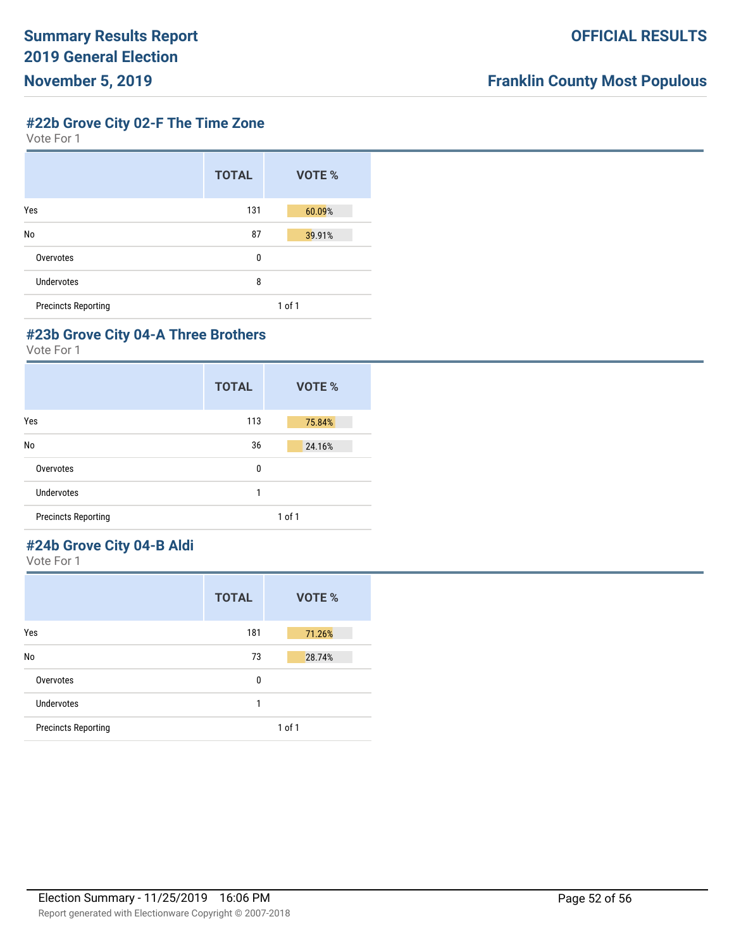**#22b Grove City 02-F The Time Zone**

Vote For 1

|                            | <b>TOTAL</b> | VOTE % |
|----------------------------|--------------|--------|
| Yes                        | 131          | 60.09% |
| No                         | 87           | 39.91% |
| Overvotes                  | 0            |        |
| Undervotes                 | 8            |        |
| <b>Precincts Reporting</b> |              | 1 of 1 |

#### **#23b Grove City 04-A Three Brothers**

Vote For 1

|                            | <b>TOTAL</b> | <b>VOTE %</b> |
|----------------------------|--------------|---------------|
| Yes                        | 113          | 75.84%        |
| No                         | 36           | 24.16%        |
| Overvotes                  | 0            |               |
| Undervotes                 | 1            |               |
| <b>Precincts Reporting</b> |              | $1$ of $1$    |

## **#24b Grove City 04-B Aldi**

|                            | <b>TOTAL</b> | VOTE %     |
|----------------------------|--------------|------------|
| Yes                        | 181          | 71.26%     |
| No                         | 73           | 28.74%     |
| Overvotes                  | 0            |            |
| Undervotes                 | 1            |            |
| <b>Precincts Reporting</b> |              | $1$ of $1$ |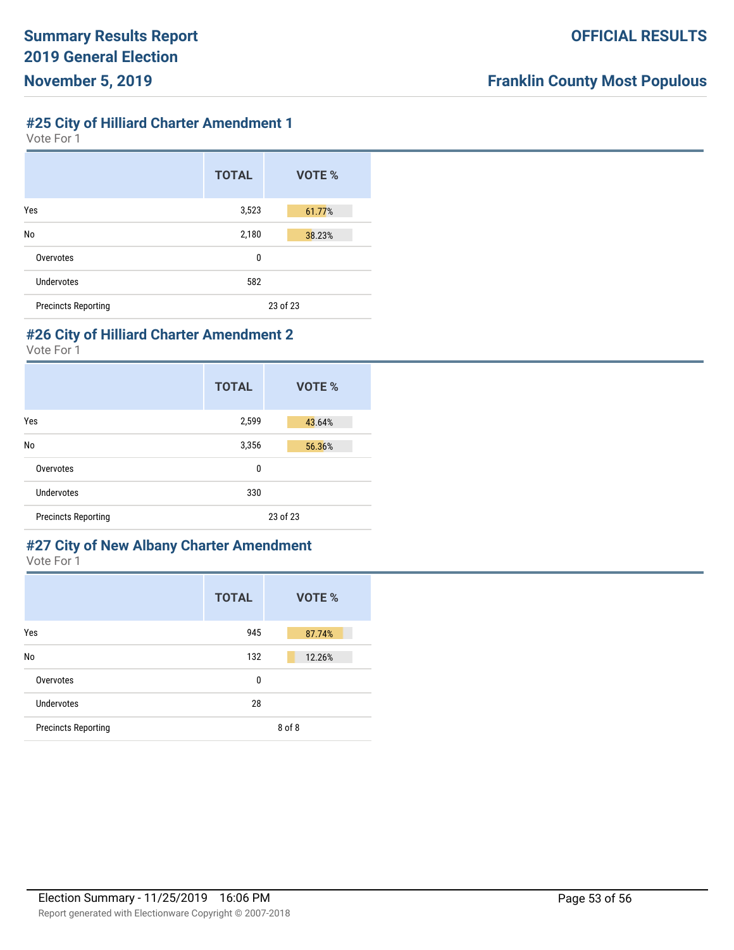## **#25 City of Hilliard Charter Amendment 1**

Vote For 1

|                            | <b>TOTAL</b> | VOTE %   |
|----------------------------|--------------|----------|
| Yes                        | 3,523        | 61.77%   |
| No                         | 2,180        | 38.23%   |
| Overvotes                  | 0            |          |
| Undervotes                 | 582          |          |
| <b>Precincts Reporting</b> |              | 23 of 23 |

## **#26 City of Hilliard Charter Amendment 2**

Vote For 1

|                            | <b>TOTAL</b> | VOTE %   |
|----------------------------|--------------|----------|
| Yes                        | 2,599        | 43.64%   |
| No                         | 3,356        | 56.36%   |
| Overvotes                  | 0            |          |
| Undervotes                 | 330          |          |
| <b>Precincts Reporting</b> |              | 23 of 23 |

#### **#27 City of New Albany Charter Amendment** Vote For 1

|                            | <b>TOTAL</b> | VOTE % |
|----------------------------|--------------|--------|
| Yes                        | 945          | 87.74% |
| No                         | 132          | 12.26% |
| Overvotes                  | $\mathbf{0}$ |        |
| Undervotes                 | 28           |        |
| <b>Precincts Reporting</b> |              | 8 of 8 |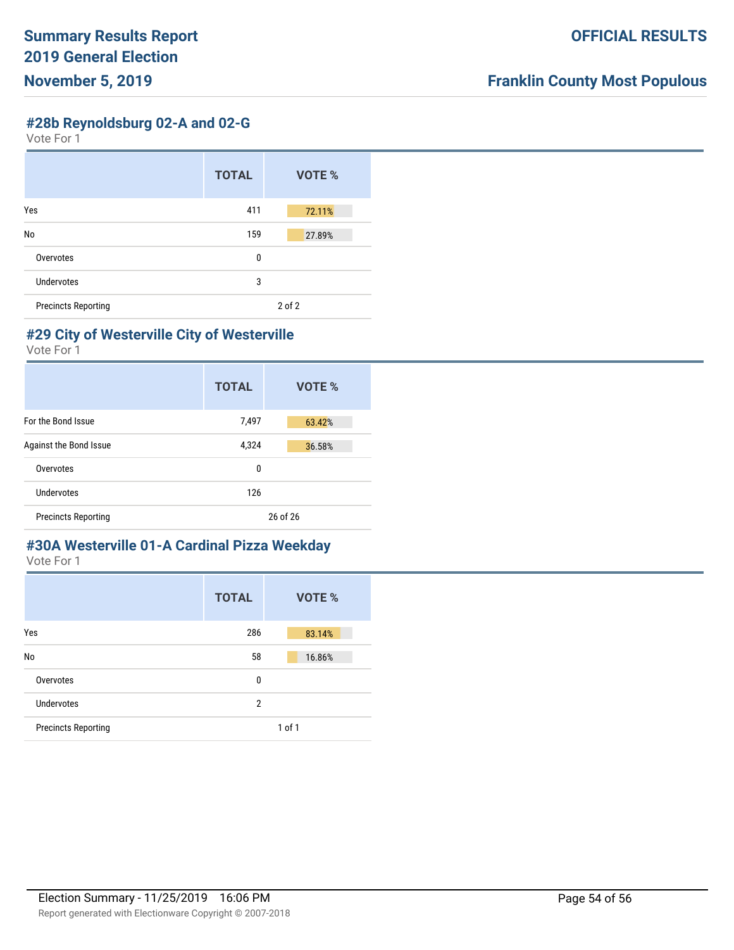**#28b Reynoldsburg 02-A and 02-G**

Vote For 1

|                            | <b>TOTAL</b> | VOTE % |
|----------------------------|--------------|--------|
| Yes                        | 411          | 72.11% |
| No                         | 159          | 27.89% |
| Overvotes                  | 0            |        |
| Undervotes                 | 3            |        |
| <b>Precincts Reporting</b> |              | 2 of 2 |

#### **#29 City of Westerville City of Westerville**

Vote For 1

|                            | <b>TOTAL</b> | VOTE %   |
|----------------------------|--------------|----------|
| For the Bond Issue         | 7,497        | 63.42%   |
| Against the Bond Issue     | 4,324        | 36.58%   |
| Overvotes                  | 0            |          |
| Undervotes                 | 126          |          |
| <b>Precincts Reporting</b> |              | 26 of 26 |

#### **#30A Westerville 01-A Cardinal Pizza Weekday** Vote For 1

|                            | <b>TOTAL</b>   | <b>VOTE %</b> |
|----------------------------|----------------|---------------|
| Yes                        | 286            | 83.14%        |
| No                         | 58             | 16.86%        |
| Overvotes                  | 0              |               |
| <b>Undervotes</b>          | $\overline{2}$ |               |
| <b>Precincts Reporting</b> |                | $1$ of $1$    |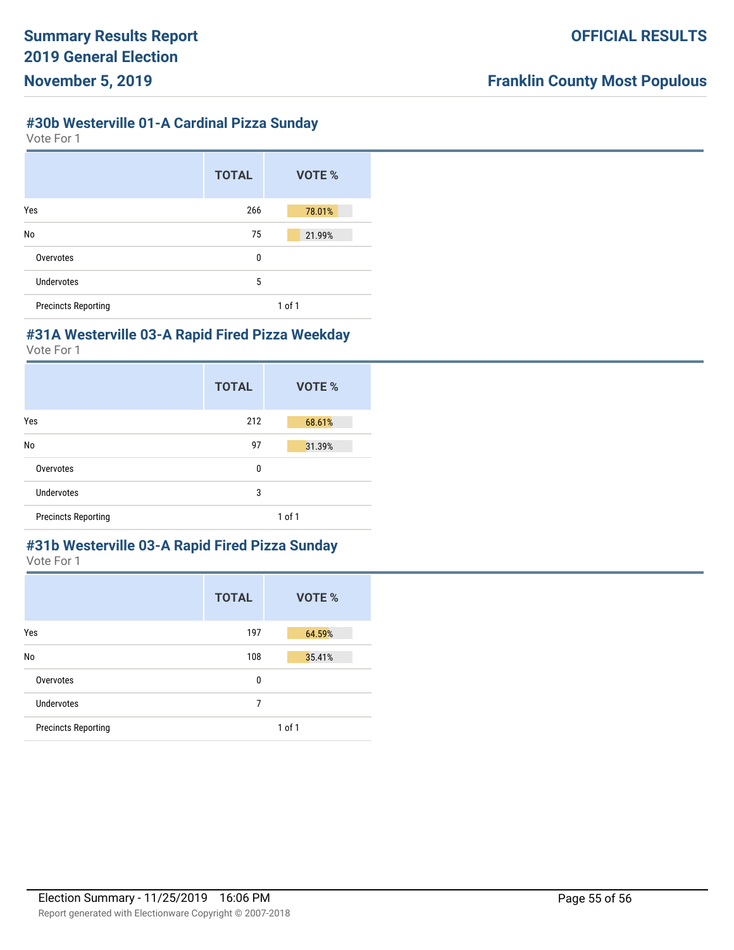## **#30b Westerville 01-A Cardinal Pizza Sunday**

Vote For 1

|                            | <b>TOTAL</b> | VOTE % |
|----------------------------|--------------|--------|
| Yes                        | 266          | 78.01% |
| No                         | 75           | 21.99% |
| Overvotes                  | 0            |        |
| Undervotes                 | 5            |        |
| <b>Precincts Reporting</b> |              | 1 of 1 |

#### **#31A Westerville 03-A Rapid Fired Pizza Weekday**

Vote For 1

|                            | <b>TOTAL</b> | <b>VOTE %</b> |
|----------------------------|--------------|---------------|
| Yes                        | 212          | 68.61%        |
| No                         | 97           | 31.39%        |
| Overvotes                  | 0            |               |
| <b>Undervotes</b>          | 3            |               |
| <b>Precincts Reporting</b> |              | $1$ of $1$    |

#### **#31b Westerville 03-A Rapid Fired Pizza Sunday** Vote For 1

|                            | <b>TOTAL</b> | VOTE %     |
|----------------------------|--------------|------------|
| Yes                        | 197          | 64.59%     |
| No                         | 108          | 35.41%     |
| Overvotes                  | 0            |            |
| Undervotes                 | 7            |            |
| <b>Precincts Reporting</b> |              | $1$ of $1$ |